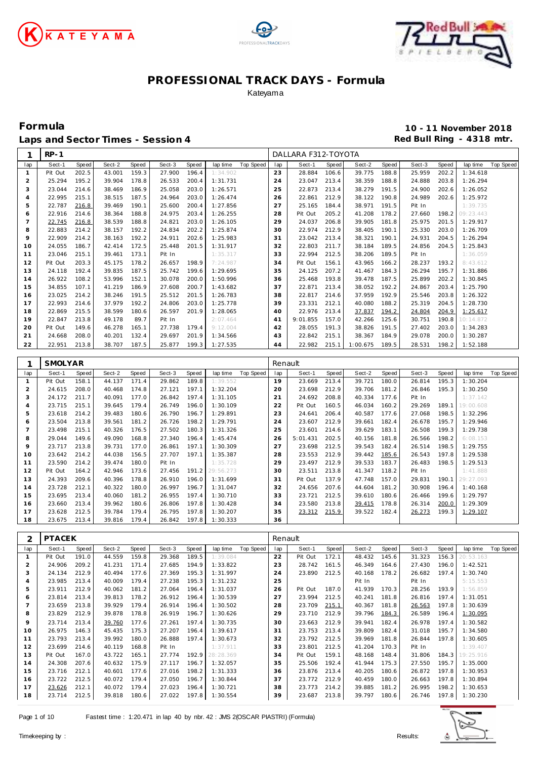

Г





### **PROFESSIONAL TRACK DAYS - Formula** Kateyama

**Formula 10 - 11 November 2018** Laps and Sector Times - Session 4 **Red Bull Ring - 4318 mtr.**<br> **Red Bull Ring - 4318 mtr.** 

| 1              | $RP-1$           |                |                  |                |                  |                |                      |                  |          | DALLARA F312-TOYOTA    |       |                  |                |                  |                |                       |                  |
|----------------|------------------|----------------|------------------|----------------|------------------|----------------|----------------------|------------------|----------|------------------------|-------|------------------|----------------|------------------|----------------|-----------------------|------------------|
| lap            | Sect-1           | Speed          | Sect-2           | Speed          | Sect-3           | Speed          | lap time             | Top Speed        | lap      | Sect-1                 | Speed | Sect-2           | Speed          | Sect-3           | Speed          | lap time              | Top Speed        |
| $\mathbf{1}$   | Pit Out          | 202.5          | 43.001           | 159.3          | 27.900           | 196.4          | 1:34.902             |                  | 23       | 28.884                 | 106.6 | 39.775           | 188.8          | 25.959           | 202.2          | 1:34.618              |                  |
| $\overline{2}$ | 25.294           | 195.2          | 39.904           | 178.8          | 26.533           | 200.4          | 1:31.731             |                  | 24       | 23.047                 | 213.4 | 38.359           | 188.8          | 24.888           | 203.8          | 1:26.294              |                  |
| 3              | 23.044           | 214.6          | 38.469           | 186.9          | 25.058           | 203.0          | 1:26.571             |                  | 25       | 22.873                 | 213.4 | 38.279           | 191.5          | 24.900           | 202.6          | 1:26.052              |                  |
| $\overline{4}$ | 22.995           | 215.1          | 38.515           | 187.5          | 24.964           | 203.0          | 1:26.474             |                  | 26       | 22.861                 | 212.9 | 38.122           | 190.8          | 24.989           | 202.6          | 1:25.972              |                  |
| 5              | 22.787           | 216.8          | 39.469           | 190.1          | 25.600           | 200.4          | 1:27.856             |                  | 27       | 25.165                 | 184.4 | 38.971           | 191.5          | Pit In           |                | 1:39.735              |                  |
| 6              | 22.916           | 214.6          | 38.364           | 188.8          | 24.975           | 203.4          | 1:26.255             |                  | 28       | Pit Out                | 205.2 | 41.208           | 178.2          | 27.660           | 198.2          | 09:23.443             |                  |
| $\overline{7}$ | 22.745           | 216.8          | 38.539           | 188.8          | 24.821           | 203.0          | 1:26.105             |                  | 29       | 24.037                 | 206.8 | 39.905           | 181.8          | 25.975           | 201.5          | 1:29.917              |                  |
| 8              | 22.883           | 214.2          | 38.157           | 192.2          | 24.834           | 202.2          | 1:25.874             |                  | 30       | 22.974                 | 212.9 | 38.405           | 190.1          | 25.330           | 203.0          | 1:26.709              |                  |
| 9              | 22.909           | 214.2          | 38.163           | 192.2          | 24.911           | 202.6          | 1:25.983             |                  | 31       | 23.042                 | 213.4 | 38.321           | 190.1          | 24.931           | 204.5          | 1:26.294              |                  |
| 10             | 24.055           | 186.7          | 42.414           | 172.5          | 25.448           | 201.5          | 1:31.917             |                  | 32       | 22.803                 | 211.7 | 38.184           | 189.5          | 24.856           | 204.5          | 1:25.843              |                  |
| 11             | 23.046           | 215.1          | 39.461           | 173.1          | Pit In           |                | 1:35.317             |                  | 33       | 22.994                 | 212.5 | 38.206           | 189.5          | Pit In           |                | 1:36.059              |                  |
| 12             | Pit Out          | 203.3          | 45.175           | 178.2          | 26.657           | 198.9          | 7:24.987             |                  | 34       | Pit Out                | 156.1 | 43.965           | 166.2          | 28.237           | 193.2          | 8:43.612              |                  |
| 13             | 24.118           | 192.4          | 39.835           | 187.5          | 25.742           | 199.6          | 1:29.695             |                  | 35       | 24.125                 | 207.2 | 41.467           | 184.3          | 26.294           | 195.7          | 1:31.886              |                  |
| 14             | 26.922           | 108.2          | 53.996           | 152.1          | 30.078           | 200.0          | 1:50.996             |                  | 36       | 25.468                 | 193.8 | 39.478           | 187.5          | 25.899           | 202.2          | 1:30.845              |                  |
| 15             | 34.855           | 107.1          | 41.219           | 186.9          | 27.608           | 200.7          | 1:43.682             |                  | 37       | 22.871                 | 213.4 | 38.052           | 192.2          | 24.867           | 203.4          | 1:25.790              |                  |
| 16             | 23.025           | 214.2          | 38.246           | 191.5          | 25.512           | 201.5          | 1:26.783             |                  | 38       | 22.817                 | 214.6 | 37.959           | 192.9          | 25.546           | 203.8          | 1:26.322              |                  |
| 17             | 22.993           | 214.6          | 37.979           | 192.2          | 24.806           | 203.0          | 1:25.778             |                  | 39       | 23.331                 | 212.1 | 40.080           | 188.2          | 25.319           | 204.5          | 1:28.730              |                  |
| 18             | 22.869           | 215.5          | 38.599           | 180.6          | 26.597           | 201.9          | 1:28.065             |                  | 40       | 22.976                 | 213.4 | 37.837           | 194.2          | 24.804           | 204.9          | 1:25.617              |                  |
| 19             | 22.847           | 213.8          | 49.178           | 89.7           | Pit In           |                | 2:07.464             |                  | 41       | 9:01.855               | 157.0 | 42.266           | 125.6          | 30.751           | 190.8          | 10:14.872             |                  |
| 20             | Pit Out          | 149.6          | 46.278           | 165.1          | 27.738           | 179.4          | 9:12.004             |                  | 42       | 28.055                 | 191.3 | 38.826           | 191.5          | 27.402           | 203.0          | 1:34.283              |                  |
| 21             | 24.668           | 208.0          | 40.201           | 132.4          | 29.697           | 201.9          | 1:34.566             |                  | 43       | 22.842                 | 215.1 | 38.367           | 184.9          | 29.078           | 200.0          | 1:30.287              |                  |
| 22             | 22.951           | 213.8          | 38.707           | 187.5          | 25.877           | 199.3          | 1:27.535             |                  | 44       | 22.982                 | 215.1 | 1:00.675         | 189.5          | 28.531           | 198.2          | 1:52.188              |                  |
|                |                  |                |                  |                |                  |                |                      |                  |          |                        |       |                  |                |                  |                |                       |                  |
| 1              | <b>SMOLYAR</b>   |                |                  |                |                  |                |                      |                  | Renault  |                        |       |                  |                |                  |                |                       |                  |
| lap            | Sect-1           | Speed          | Sect-2           | Speed          | Sect-3           | Speed          | lap time             | Top Speed        | lap      | Sect-1                 | Speed | Sect-2           | Speed          | Sect-3           | Speed          | lap time              | Top Speed        |
| $\mathbf{1}$   | Pit Out          | 158.1          | 44.137           | 171.4          | 29.862           | 189.8          | 1:39.552             |                  | 19       | 23.669                 | 213.4 | 39.721           | 180.0          | 26.814           | 195.3          | 1:30.204              |                  |
| $\overline{2}$ | 24.615           | 208.0          | 40.468           | 174.8          | 27.121           | 197.1          | 1:32.204             |                  | 20       | 23.698                 | 212.9 | 39.706           | 181.2          | 26.846           | 195.3          | 1:30.250              |                  |
| 3              | 24.172           | 211.7          | 40.091           | 177.0          | 26.842           | 197.4          | 1:31.105             |                  | 21       | 24.692                 | 208.8 | 40.334           | 177.6          | Pit In           |                | 1:37.142              |                  |
| $\overline{4}$ | 23.715           | 215.1          | 39.645           | 179.4          | 26.749           | 196.0          | 1:30.109             |                  | 22       | Pit Out                | 160.5 | 46.034           | 160.2          | 29.269           | 189.1          | 19:00.608             |                  |
| 5              | 23.618           | 214.2          | 39.483           | 180.6          | 26.790           | 196.7          | 1:29.891             |                  | 23       | 24.641                 | 206.4 | 40.587           | 177.6          | 27.068           | 198.5          | 1:32.296              |                  |
| 6              | 23.504           | 213.8          | 39.561           | 181.2          | 26.726           | 198.2          | 1:29.791             |                  | 24       | 23.607                 | 212.9 | 39.661           | 182.4          | 26.678           | 195.7          | 1:29.946              |                  |
| $\overline{7}$ | 23.498           | 215.1          | 40.326           | 176.5          | 27.502           | 180.3          | 1:31.326             |                  | 25       | 23.601                 | 214.6 | 39.629           | 183.1          | 26.508           | 199.3          | 1:29.738              |                  |
| 8              | 29.044           | 149.6          | 49.090           | 168.8          | 27.340           | 196.4          | 1:45.474             |                  | 26       | 5:01.431               | 202.5 | 40.156           | 181.8          | 26.566           | 198.2          | 6:08.153              |                  |
| 9              | 23.717           | 213.8          | 39.731           | 177.0          | 26.861           | 197.1          | 1:30.309             |                  | 27       | 23.698                 | 212.5 | 39.543           | 182.4          | 26.514           | 198.5          | 1:29.755              |                  |
| 10             | 23.642           | 214.2          | 44.038           | 156.5          | 27.707           | 197.1          | 1:35.387             |                  | 28       | 23.553                 | 212.9 | 39.442           | 185.6          | 26.543           | 197.8          | 1:29.538              |                  |
| 11             | 23.590           | 214.2          | 39.474           | 180.0          | Pit In           |                | 1:35.728             |                  | 29       | 23.497                 | 212.9 | 39.533           | 183.7          | 26.483           | 198.5          | 1:29.513              |                  |
| 12             | Pit Out          | 164.2          | 42.946           | 173.6          | 27.456           | 191.2          | 29:56.273            |                  | 30       | 23.511                 | 213.8 | 41.347           | 118.2          | Pit In           |                | 1:41.888              |                  |
| 13             | 24.393           | 209.6          | 40.396           | 178.8          | 26.910           | 196.0          | 1:31.699             |                  | 31       | Pit Out                | 137.9 | 47.748           | 157.0          | 29.831           | 190.1          | 29:27.093             |                  |
| 14             | 23.728           | 212.1          | 40.322           | 180.0          | 26.997           | 196.7          | 1:31.047             |                  | 32       | 24.656                 | 207.6 | 44.604           | 181.2          | 30.908           | 196.4          | 1:40.168              |                  |
| 15             | 23.695           | 213.4          | 40.060           | 181.2          | 26.955           | 197.4          | 1:30.710             |                  | 33       | 23.721                 | 212.5 | 39.610           | 180.6          | 26.466           | 199.6          | 1:29.797              |                  |
| 16             | 23.660           | 213.4          | 39.962           | 180.6          | 26.806           | 197.8          | 1:30.428             |                  | 34       | 23.580                 | 213.8 | 39.415           | 178.8          | 26.314           | 200.0          | 1:29.309              |                  |
| 17             | 23.628           | 212.5          | 39.784           | 179.4          | 26.795           | 197.8          | 1:30.207             |                  | 35       | 23.312                 | 215.9 | 39.522           | 182.4          | 26.273           | 199.3          | 1:29.107              |                  |
| 18             | 23.675           | 213.4          | 39.816           | 179.4          | 26.842           | 197.8          | 1:30.333             |                  | 36       |                        |       |                  |                |                  |                |                       |                  |
|                |                  |                |                  |                |                  |                |                      |                  |          |                        |       |                  |                |                  |                |                       |                  |
| 2              | <b>PTACEK</b>    |                |                  |                |                  |                |                      |                  | Renault  |                        |       |                  |                |                  |                |                       |                  |
| lap            | Sect-1           | Speed          | Sect-2           | Speed          | Sect-3           | Speed          | lap time             | <b>Top Speed</b> | lap      | Sect-1                 | Speed | Sect-2           | Speed          | Sect-3           | Speed          | lap time              | <b>Top Speed</b> |
| $\mathbf{1}$   | Pit Out          | 191.0          | 44.559           | 159.8          | 29.368           | 189.5          | 1:39.U84             |                  | 22       | Pit Out                | 172.1 | 48.432           | 145.6          | 31.323           | 156.3          | (UI 53. TO3           |                  |
| $\overline{c}$ | 24.906           | 209.2          | 41.231           | 171.4          | 27.685           | 194.9          | 1:33.822             |                  | 23       | 28.742 161.5           |       | 46.349           | 164.6          | 27.430           | 196.0          | 1:42.521              |                  |
| 3              | 24.134           | 212.9          | 40.494           | 177.6          | 27.369           | 195.3          | 1:31.997             |                  | 24       | 23.890                 | 212.5 | 40.168           | 178.2          | 26.682           | 197.4          | 1:30.740              |                  |
| 4              | 23.985           | 213.4          | 40.009           | 179.4          | 27.238           | 195.3          | 1:31.232             |                  | 25       |                        |       | Pit In           |                | Pit In           |                | 5:15.553              |                  |
| 5              | 23.911           | 212.9          | 40.062           | 181.2          | 27.064           | 196.4          | 1:31.037             |                  | 26       | Pit Out                | 187.0 | 41.939           | 170.3          | 28.256           | 193.9          | 1:56.859              |                  |
| 6              | 23.814           | 213.4          | 39.813           | 178.2          | 26.912           | 196.4          | 1:30.539             |                  | 27       | 23.994                 | 212.5 | 40.241 181.8     |                | 26.816           | 197.4          | 1:31.051              |                  |
| $\overline{7}$ | 23.659           | 213.8          | 39.929           | 179.4          | 26.914           | 196.4          | 1:30.502             |                  | 28       | 23.709                 | 215.1 | 40.367           | 181.8          | 26.563           | 197.8          | 1:30.639              |                  |
| 8              | 23.829           | 212.9          | 39.878           | 178.8          | 26.919           | 196.7          | 1:30.626             |                  | 29       | 23.710                 | 212.9 | 39.796           | 184.3          | 26.589           | 196.4          | 1:30.095              |                  |
| 9              | 23.714           | 213.4          | 39.760           | 177.6          | 27.261           | 197.4          | 1:30.735             |                  | 30       | 23.663                 | 212.9 | 39.941 182.4     |                | 26.978           | 197.4          | 1:30.582              |                  |
| 10             | 26.975<br>23.793 | 146.3<br>213.4 | 45.435<br>39.992 | 175.3<br>180.0 | 27.207<br>26.888 | 196.4<br>197.4 | 1:39.617             |                  | 31       | 23.753<br>23.792 212.5 | 213.4 | 39.809<br>39.969 | 182.4<br>181.8 | 31.018<br>26.844 | 195.7<br>197.8 | 1:34.580              |                  |
| 11<br>12       | 23.699           | 214.6          | 40.119           | 168.8          | Pit In           |                | 1:30.673<br>1:37.911 |                  | 32<br>33 | 23.801                 | 212.5 | 41.204 170.3     |                | Pit In           |                | 1:30.605              |                  |
| 13             | Pit Out          | 167.0          | 43.722           | 165.1          | 27.774 192.9     |                | 28:28.369            |                  | 34       | Pit Out                | 159.1 | 48.168           | 148.4          | 31.806           | 184.3          | 1:39.407<br>19:25.916 |                  |
| 14             | 24.308           | 207.6          | 40.632           | 175.9          | 27.117 196.7     |                | 1:32.057             |                  | 35       | 25.506                 | 192.4 | 41.944 175.3     |                | 27.550           | 195.7          | 1:35.000              |                  |
| 15             | 23.716           | 212.1          | 40.601           | 177.6          | 27.016           | 198.2          | 1:31.333             |                  | 36       | 23.876                 | 213.4 | 40.205           | 180.6          | 26.872           | 197.8          | 1:30.953              |                  |
| 16             | 23.722           | 212.5          | 40.072           | 179.4          | 27.050           | 196.7          | 1:30.844             |                  | 37       | 23.772 212.9           |       | 40.459           | 180.0          | 26.663           | 197.8          | 1:30.894              |                  |
|                |                  |                |                  |                |                  |                |                      |                  |          |                        |       |                  |                |                  |                |                       |                  |
| 17             |                  | 212.1          | 40.072           | 179.4          | 27.023           | 196.4          | 1:30.721             |                  | 38       | 23.773                 | 214.2 | 39.885           | 181.2          | 26.995           | 198.2          | 1:30.653              |                  |
| 18             | 23.626<br>23.714 | 212.5          | 39.818           | 180.6          | 27.022           | 197.8          | 1:30.554             |                  | 39       | 23.687                 | 213.8 | 39.797 180.6     |                | 26.746           | 197.8          | 1:30.230              |                  |

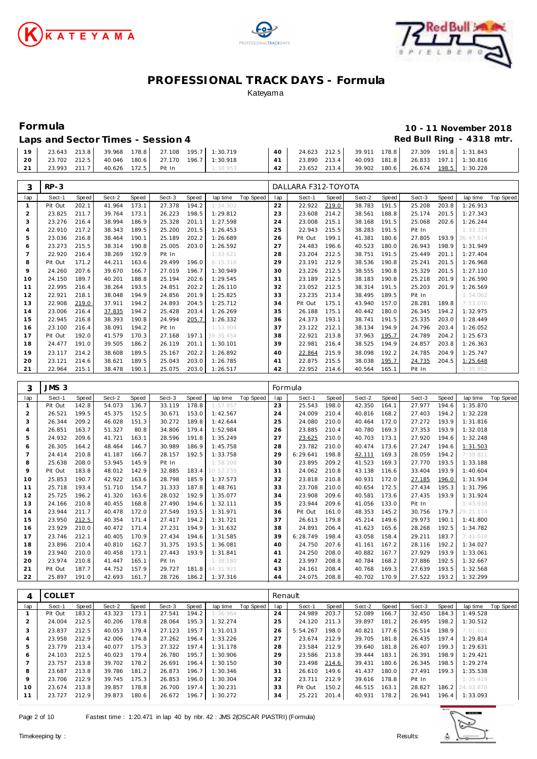





| Laps and Sector Times - Session 4 | Red Bull Ring - 4318 mtr. |
|-----------------------------------|---------------------------|
|-----------------------------------|---------------------------|

| 10 | <sup>2</sup> 3.643 | 213.8 | 39.968 | 178.8 |        | 27.108  195.7  1:30.719 | 40 | 24.623       | 212.5 | 39.911 178.8 |       | 27.309 |       | 191.8 1:31.843        |
|----|--------------------|-------|--------|-------|--------|-------------------------|----|--------------|-------|--------------|-------|--------|-------|-----------------------|
| 20 | 23.702             | 212.5 | 40.046 | 180.6 |        | 27.170  196.7  1:30.918 |    | 23.890 213.4 |       | 40.093 181.8 |       |        |       | 26.833 197.1 1:30.816 |
|    | 23.993             | 211.7 | 40.626 | 172.5 | Pit In | 1:38.953                |    | 23.652       | 213.4 | 39.902       | 180.6 | 26.674 | 198.5 | 1:30.228              |

| 3                              | $RP-3$           |       |        |       |                  |                |            |                  |           | DALLARA F312-TOYOTA |       |                  |       |        |       |           |                  |
|--------------------------------|------------------|-------|--------|-------|------------------|----------------|------------|------------------|-----------|---------------------|-------|------------------|-------|--------|-------|-----------|------------------|
| lap                            | Sect-1           | Speed | Sect-2 | Speed | Sect-3           | Speed          | lap time   | <b>Top Speed</b> | lap       | Sect-1              | Speed | Sect-2           | Speed | Sect-3 | Speed | lap time  | <b>Top Speed</b> |
| $\mathbf{1}$                   | Pit Out          | 202.1 | 41.964 | 173.1 | 27.378           | 194.2          | 1:34.302   |                  | 22        | 22.922              | 219.0 | 38.783           | 191.5 | 25.208 | 203.8 | 1:26.913  |                  |
| $\overline{a}$                 | 23.825           | 211.7 | 39.764 | 173.1 | 26.223           | 198.5          | 1:29.812   |                  | 23        | 23.608              | 214.2 | 38.561           | 188.8 | 25.174 | 201.5 | 1:27.343  |                  |
| 3                              | 23.276           | 216.4 | 38.994 | 186.9 | 25.328           | 201.1          | 1:27.598   |                  | 24        | 23.008              | 215.1 | 38.168           | 191.5 | 25.068 | 202.6 | 1:26.244  |                  |
| $\overline{4}$                 | 22.910           | 217.2 | 38.343 | 189.5 | 25.200           | 201.5          | 1:26.453   |                  | 25        | 22.943              | 215.5 | 38.283           | 191.5 | Pit In |       | 1:33.335  |                  |
| 5                              | 23.036           | 216.8 | 38.464 | 190.1 | 25.189           | 202.2          | 1:26.689   |                  | 26        | Pit Out             | 199.1 | 41.381           | 180.6 | 27.805 | 193.9 | 36:47.514 |                  |
| 6                              | 23.273           | 215.5 | 38.314 | 190.8 | 25.005           | 203.0          | 1:26.592   |                  | 27        | 24.483              | 196.6 | 40.523           | 180.0 | 26.943 | 198.9 | 1:31.949  |                  |
| $\overline{7}$                 | 22.920           | 216.4 | 38.269 | 192.9 | Pit In           |                | 1:33.621   |                  | 28        | 23.204              | 212.5 | 38.751           | 191.5 | 25.449 | 201.1 | 1:27.404  |                  |
| 8                              | Pit Out          | 171.2 | 44.211 | 163.6 | 29.499           | 196.0          | 6:15.316   |                  | 29        | 23.191              | 212.9 | 38.536           | 190.8 | 25.241 | 201.5 | 1:26.968  |                  |
| 9                              | 24.260           | 207.6 | 39.670 | 166.7 | 27.019           | 196.7          | 1:30.949   |                  | 30        | 23.226              | 212.5 | 38.555           | 190.8 | 25.329 | 201.5 | 1:27.110  |                  |
| 10                             | 24.150           | 189.7 | 40.201 | 188.8 | 25.194           | 202.6          | 1:29.545   |                  | 31        | 23.189              | 212.5 | 38.183           | 190.8 | 25.218 | 201.9 | 1:26.590  |                  |
| 11                             | 22.995           | 216.4 | 38.264 | 193.5 | 24.851           | 202.2          | 1:26.110   |                  | 32        | 23.052              | 212.5 | 38.314           | 191.5 | 25.203 | 201.9 | 1:26.569  |                  |
| 12                             | 22.921           | 218.1 | 38.048 | 194.9 | 24.856           | 201.9          | 1:25.825   |                  | 33        | 23.235              | 213.4 | 38.495           | 189.5 | Pit In |       | 1:34.062  |                  |
| 13                             | 22.908           | 219.0 | 37.911 | 194.2 | 24.893           | 204.5          | 1:25.712   |                  | 34        | Pit Out             | 175.1 | 43.940           | 157.0 | 28.281 | 189.8 | 7:53.070  |                  |
| 14                             | 23.006           | 216.4 | 37.835 | 194.2 | 25.428           | 203.4          | 1:26.269   |                  | 35        | 26.188              | 175.1 | 40.442           | 180.0 | 26.345 | 194.2 | 1:32.975  |                  |
| 15                             | 22.945           | 216.8 | 38.393 | 190.8 | 24.994           | 205.7          | 1:26.332   |                  | 36        | 24.373              | 193.1 | 38.741           | 191.5 | 25.335 | 203.0 | 1:28.449  |                  |
| 16                             | 23.100           | 216.4 | 38.091 | 194.2 | Pit In           |                | 1:33.904   |                  | 37        | 23.122              | 212.1 | 38.134           | 194.9 | 24.796 | 203.4 | 1:26.052  |                  |
| 17                             | Pit Out          | 192.0 | 41.579 | 170.3 | 27.168           | 197.1          | 39:35.454  |                  | 38        | 22.921              | 213.8 | 37.963           | 195.7 | 24.789 | 204.2 | 1:25.673  |                  |
| 18                             | 24.477           | 191.0 | 39.505 | 186.2 | 26.119           | 201.1          | 1:30.101   |                  | 39        | 22.981              | 216.4 | 38.525           | 194.9 | 24.857 | 203.8 | 1:26.363  |                  |
| 19                             | 23.117           | 214.2 | 38.608 | 189.5 | 25.167           | 202.2          | 1:26.892   |                  | 40        | 22.864              | 215.9 | 38.098           | 192.2 | 24.785 | 204.9 | 1:25.747  |                  |
| 20                             | 23.121           | 214.6 | 38.621 | 189.5 | 25.043           | 203.0          | 1:26.785   |                  | 41        | 22.875              | 215.5 | 38.038           | 195.7 | 24.735 | 204.5 | 1:25.648  |                  |
| 21                             | 22.964           | 215.1 | 38.478 | 190.1 | 25.075           | 203.0          | 1:26.517   |                  | 42        | 22.952              | 214.6 | 40.564           | 165.1 | Pit In |       | 1:35.852  |                  |
|                                |                  |       |        |       |                  |                |            |                  |           |                     |       |                  |       |        |       |           |                  |
| 3                              | JMS <sub>3</sub> |       |        |       |                  |                |            |                  |           | Formula             |       |                  |       |        |       |           |                  |
| lap                            | Sect-1           | Speed | Sect-2 | Speed | Sect-3<br>33.119 | Speed<br>178.8 | lap time   | Top Speed        | lap<br>23 | Sect-1              | Speed | Sect-2<br>42.350 | Speed | Sect-3 | Speed | lap time  | <b>Top Speed</b> |
| $\mathbf{1}$<br>$\overline{2}$ | Pit Out          | 142.8 | 54.073 | 136.7 |                  |                | 1:57.857   |                  |           |                     | 198.0 |                  |       |        |       |           |                  |
|                                |                  |       |        |       |                  |                |            |                  |           | 25.543              |       |                  | 164.1 | 27.977 | 194.6 | 1:35.870  |                  |
|                                | 26.521           | 199.5 | 45.375 | 152.5 | 30.671           | 153.0          | 1:42.567   |                  | 24        | 24.009              | 210.4 | 40.816           | 168.2 | 27.403 | 194.2 | 1:32.228  |                  |
| $\sqrt{3}$                     | 26.344           | 209.2 | 46.028 | 151.3 | 30.272           | 189.8          | 1:42.644   |                  | 25        | 24.080              | 210.0 | 40.464           | 172.0 | 27.272 | 193.9 | 1:31.816  |                  |
| $\overline{4}$                 | 26.851           | 163.7 | 51.327 | 80.8  | 34.806           | 179.4          | 1:52.984   |                  | 26        | 23.885              | 210.4 | 40.780           | 169.3 | 27.353 | 193.9 | 1:32.018  |                  |
| 5                              | 24.932           | 209.6 | 41.721 | 163.1 | 28.596           | 191.8          | 1:35.249   |                  | 27        | 23.625              | 210.0 | 40.703           | 173.1 | 27.920 | 194.6 | 1:32.248  |                  |
| 6                              | 26.305           | 164.2 | 48.464 | 146.7 | 30.989           | 186.9          | 1:45.758   |                  | 28        | 23.782              | 210.0 | 40.474           | 173.6 | 27.247 | 194.6 | 1:31.503  |                  |
| $\overline{7}$                 | 24.414           | 210.8 | 41.187 | 166.7 | 28.157           | 192.5          | 1:33.758   |                  | 29        | 6:29.641            | 198.8 | 42.111           | 169.3 | 28.059 | 194.2 | 7:39.811  |                  |
| 8                              | 25.638           | 208.0 | 53.945 | 145.9 | Pit In           |                | 1:58.208   |                  | 30        | 23.895              | 209.2 | 41.523           | 169.3 | 27.770 | 193.5 | 1:33.188  |                  |
| 9                              | Pit Out          | 183.8 | 48.012 | 142.9 | 32.885           | 183.4          | 10:52.239  |                  | 31        | 24.062              | 210.8 | 43.138           | 116.6 | 33.404 | 193.9 | 1:40.604  |                  |
| 10                             | 25.853           | 190.7 | 42.922 | 163.6 | 28.798           | 185.9          | 1:37.573   |                  | 32        | 23.818              | 210.8 | 40.931           | 172.0 | 27.185 | 196.0 | 1:31.934  |                  |
| 11                             | 25.718           | 193.4 | 51.710 | 154.7 | 31.333           | 187.8          | 1:48.761   |                  | 33        | 23.708              | 210.0 | 40.654           | 172.5 | 27.434 | 195.3 | 1:31.796  |                  |
| 12                             | 25.725           | 196.2 | 41.320 | 163.6 | 28.032           | 192.9          | 1:35.077   |                  | 34        | 23.908              | 209.6 | 40.581           | 173.6 | 27.435 | 193.9 | 1:31.924  |                  |
| 13                             | 24.166           | 210.8 | 40.455 | 168.8 | 27.490           | 194.6          | 1:32.111   |                  | 35        | 23.944              | 209.6 | 41.056           | 133.0 | Pit In |       | 1:43.938  |                  |
| 14                             | 23.944           | 211.7 | 40.478 | 172.0 | 27.549           | 193.5          | 1:31.971   |                  | 36        | Pit Out             | 161.0 | 48.353           | 145.2 | 30.756 | 179.7 | 29:21.174 |                  |
| 15                             | 23.950           | 212.5 | 40.354 | 171.4 | 27.417           | 194.2          | 1:31.721   |                  | 37        | 26.613              | 179.8 | 45.214           | 149.6 | 29.973 | 190.1 | 1:41.800  |                  |
| 16                             | 23.929           | 210.0 | 40.472 | 171.4 | 27.231           | 194.9          | 1:31.632   |                  | 38        | 24.891              | 206.4 | 41.623           | 165.6 | 28.268 | 192.5 | 1:34.782  |                  |
| 17                             | 23.746           | 212.1 | 40.405 | 170.9 | 27.434           | 194.6          | 1:31.585   |                  | 39        | 6:28.749            | 198.4 | 43.058           | 158.4 | 29.211 | 183.7 | 7:41.018  |                  |
| 18                             | 23.896           | 210.4 | 40.810 | 162.7 | 31.375           | 193.5          | 1:36.081   |                  | 40        | 24.750              | 207.6 | 41.161           | 167.2 | 28.116 | 192.2 | 1:34.027  |                  |
| 19                             | 23.940           | 210.0 | 40.458 | 173.1 | 27.443           | 193.9          | 1:31.841   |                  | 41        | 24.250              | 208.0 | 40.882           | 167.7 | 27.929 | 193.9 | 1:33.061  |                  |
| 20                             | 23.974           | 210.8 | 41.447 | 165.1 | Pit In           |                | 1:38.180   |                  | 42        | 23.997              | 208.8 | 40.784           | 168.2 | 27.886 | 192.5 | 1:32.667  |                  |
| 21                             | Pit Out          | 187.7 | 44.752 | 157.9 | 29.727           | 181.8          | 44: 31.921 |                  | 43        | 24.161              | 208.4 | 40.768           | 169.3 | 27.639 | 193.5 | 1:32.568  |                  |
| 22                             | 25.897           | 191.0 | 42.693 | 161.7 | 28.726           | 186.2          | 1:37.316   |                  | 44        | 24.075              | 208.8 | 40.702           | 170.9 | 27.522 | 193.2 | 1:32.299  |                  |

| 4       | <b>COLLET</b> |       |        |       |        |       |          |           | Renault |          |       |        |       |        |       |                 |           |
|---------|---------------|-------|--------|-------|--------|-------|----------|-----------|---------|----------|-------|--------|-------|--------|-------|-----------------|-----------|
| lap     | Sect-1        | Speed | Sect-2 | Speed | Sect-3 | Speed | lap time | Top Speed | lap     | Sect-1   | Speed | Sect-2 | Speed | Sect-3 | Speed | lap time        | Top Speed |
|         | Pit Out       | 183.2 | 43.323 | 173.1 | 27.541 | 194.2 | 1:36.964 |           | 24      | 24.989   | 203.7 | 52.089 | 166.7 | 32.450 | 184.3 | 1:49.528        |           |
|         | 24.004        | 212.5 | 40.206 | 178.8 | 28.064 | 195.3 | 1:32.274 |           | 25      | 24.120   | 211.3 | 39.897 | 181.2 | 26.495 | 198.2 | 1:30.512        |           |
| 3       | 23.837        | 212.5 | 40.053 | 179.4 | 27.123 | 195.7 | 1:31.013 |           | 26      | 5:54.267 | 198.0 | 40.821 | 177.6 | 26.514 | 198.9 | 7:01.602        |           |
| 4       | 23.958        | 212.9 | 42.006 | 174.8 | 27.262 | 196.4 | 1:33.226 |           | 27      | 23.674   | 212.9 | 39.705 | 181.8 | 26.435 | 197.4 | 1:29.814        |           |
| 5       | 23.779        | 213.4 | 40.077 | 175.3 | 27.322 | 197.4 | 1:31.178 |           | 28      | 23.584   | 212.9 | 39.640 | 181.8 | 26.407 | 199.3 | 1:29.631        |           |
| 6       | 24.103        | 212.5 | 40.023 | 179.4 | 26.780 | 195.7 | 1:30.906 |           | 29      | 23.586   | 213.8 | 39.444 | 183.1 | 26.391 | 198.9 | 1:29.421        |           |
|         | 23.757        | 213.8 | 39.702 | 178.2 | 26.691 | 196.4 | 1:30.150 |           | 30      | 23.498   | 214.6 | 39.431 | 180.6 | 26.345 | 198.5 | 1:29.274        |           |
| 8       | 23.687        | 213.8 | 39.786 | 181.2 | 26.873 | 196.7 | 1:30.346 |           | 31      | 26.610   | 149.6 | 41.437 | 180.0 | 27.491 | 199.3 | 1:35.538        |           |
| $\circ$ | 23.706        | 212.9 | 39.745 | 175.3 | 26.853 | 196.0 | 1:30.304 |           | 32      | 23.711   | 212.9 | 39.616 | 178.8 | Pit In |       | 1:35.419        |           |
| 10      | 23.674        | 213.8 | 39.857 | 178.8 | 26.700 | 197.4 | 1:30.231 |           | 33      | Pit Out  | 150.2 | 46.515 | 163.1 | 28.827 |       | 186.2 24:03.878 |           |
| 11      | 23.727        | 212.9 | 39.873 | 180.6 | 26.672 | 196.7 | 1:30.272 |           | 34      | 25.221   | 201.4 | 40.931 | 178.2 | 26.941 | 196.4 | 1:33.093        |           |
|         |               |       |        |       |        |       |          |           |         |          |       |        |       |        |       |                 |           |

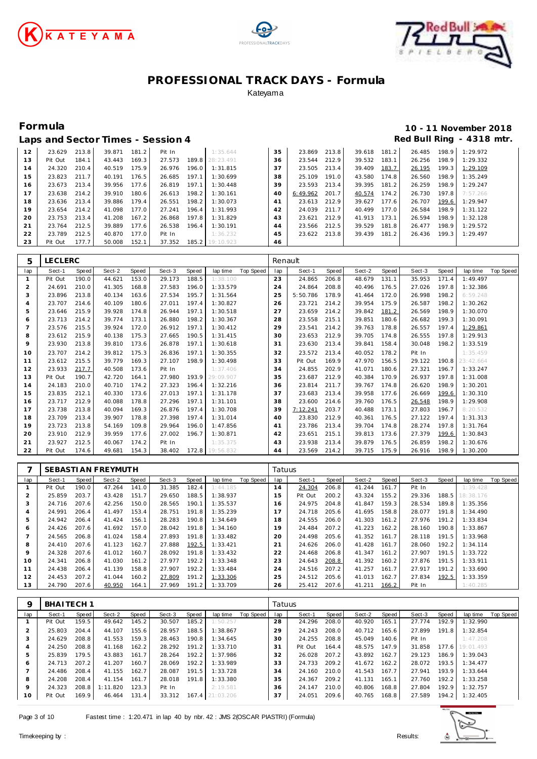





|    | Laps and Sector Times - Session 4 |       |        |       |        |       |           |    |          |       |        |       | Red Bull Ring |       | - 4318 mtr.     |
|----|-----------------------------------|-------|--------|-------|--------|-------|-----------|----|----------|-------|--------|-------|---------------|-------|-----------------|
| 12 | 23.629                            | 213.8 | 39.871 | 181.2 | Pit In |       | 1:35.644  | 35 | 23.869   | 213.8 | 39.618 | 181.2 | 26.485        | 198.9 | 1:29.972        |
| 13 | Pit Out                           | 184.1 | 43.443 | 169.3 | 27.573 | 189.8 | 28:23.491 | 36 | 23.544   | 212.9 | 39.532 | 183.1 | 26.256        | 198.9 | 1:29.332        |
| 14 | 24.320                            | 210.4 | 40.519 | 175.9 | 26.976 | 196.0 | 1:31.815  | 37 | 23.505   | 213.4 | 39.409 | 183.7 | 26.195        | 199.3 | <u>1:29.109</u> |
| 15 | 23.823                            | 211.7 | 40.191 | 176.5 | 26.685 | 197.1 | 1:30.699  | 38 | 25.109   | 191.0 | 43.580 | 174.8 | 26.560        | 198.9 | 1:35.249        |
| 16 | 23.673                            | 213.4 | 39.956 | 177.6 | 26.819 | 197.1 | 1:30.448  | 39 | 23.593   | 213.4 | 39.395 | 181.2 | 26.259        | 198.9 | 1:29.247        |
| 17 | 23.638                            | 214.2 | 39.910 | 180.6 | 26.613 | 198.2 | 1:30.161  | 40 | 6:49.962 | 201.7 | 40.574 | 174.2 | 26.730        | 197.8 | 7:57.266        |
| 18 | 23.636                            | 213.4 | 39.886 | 179.4 | 26.551 | 198.2 | 1:30.073  | 41 | 23.613   | 212.9 | 39.627 | 177.6 | 26.707        | 199.6 | 1:29.947        |
| 19 | 23.654                            | 214.2 | 41.098 | 177.0 | 27.241 | 196.4 | 1:31.993  | 42 | 24.039   | 211.7 | 40.499 | 177.0 | 26.584        | 198.9 | 1:31.122        |
| 20 | 23.753                            | 213.4 | 41.208 | 167.2 | 26.868 | 197.8 | 1:31.829  | 43 | 23.621   | 212.9 | 41.913 | 173.1 | 26.594        | 198.9 | 1:32.128        |
| 21 | 23.764                            | 212.5 | 39.889 | 177.6 | 26.538 | 196.4 | 1:30.191  | 44 | 23.566   | 212.5 | 39.529 | 181.8 | 26.477        | 198.9 | 1:29.572        |
| 22 | 23.789                            | 212.5 | 40.870 | 177.0 | Pit In |       | 1:36.232  | 45 | 23.622   | 213.8 | 39.439 | 181.2 | 26.436        | 199.3 | 1:29.497        |
| 23 | Pit Out                           | 177.7 | 50.008 | 152.1 | 37.352 | 185.2 | 19:10.923 | 46 |          |       |        |       |               |       |                 |

| 5            | <b>LECLERC</b> |       |        |       |        |       |           |           | Renault |          |       |        |       |        |       |           |           |
|--------------|----------------|-------|--------|-------|--------|-------|-----------|-----------|---------|----------|-------|--------|-------|--------|-------|-----------|-----------|
| lap          | Sect-1         | Speed | Sect-2 | Speed | Sect-3 | Speed | lap time  | Top Speed | lap     | Sect-1   | Speed | Sect-2 | Speed | Sect-3 | Speed | lap time  | Top Speed |
| $\mathbf{1}$ | Pit Out        | 190.0 | 44.621 | 153.0 | 29.173 | 188.5 | 1:38.100  |           | 23      | 24.865   | 206.8 | 48.679 | 131.1 | 35.953 | 171.4 | 1:49.497  |           |
| 2            | 24.691         | 210.0 | 41.305 | 168.8 | 27.583 | 196.0 | 1:33.579  |           | 24      | 24.864   | 208.8 | 40.496 | 176.5 | 27.026 | 197.8 | 1:32.386  |           |
| 3            | 23.896         | 213.8 | 40.134 | 163.6 | 27.534 | 195.7 | 1:31.564  |           | 25      | 5:50.786 | 178.9 | 41.464 | 172.0 | 26.998 | 198.2 | 6:59.248  |           |
| 4            | 23.707         | 214.6 | 40.109 | 180.6 | 27.011 | 197.4 | 1:30.827  |           | 26      | 23.721   | 214.2 | 39.954 | 175.9 | 26.587 | 198.2 | 1:30.262  |           |
| 5            | 23.646         | 215.9 | 39.928 | 174.8 | 26.944 | 197.1 | 1:30.518  |           | 27      | 23.659   | 214.2 | 39.842 | 181.2 | 26.569 | 198.9 | 1:30.070  |           |
| 6            | 23.713         | 214.2 | 39.774 | 173.1 | 26.880 | 198.2 | 1:30.367  |           | 28      | 23.558   | 215.1 | 39.851 | 180.6 | 26.682 | 199.3 | 1:30.091  |           |
| 7            | 23.576         | 215.5 | 39.924 | 172.0 | 26.912 | 197.1 | 1:30.412  |           | 29      | 23.541   | 214.2 | 39.763 | 178.8 | 26.557 | 197.4 | 1:29.861  |           |
| 8            | 23.612         | 215.9 | 40.138 | 175.3 | 27.665 | 190.5 | 1:31.415  |           | 30      | 23.653   | 212.9 | 39.705 | 174.8 | 26.555 | 197.8 | 1:29.913  |           |
| 9            | 23.930         | 213.8 | 39.810 | 173.6 | 26.878 | 197.1 | 1:30.618  |           | 31      | 23.630   | 213.4 | 39.841 | 158.4 | 30.048 | 198.2 | 1:33.519  |           |
| 10           | 23.707         | 214.2 | 39.812 | 175.3 | 26.836 | 197.1 | 1:30.355  |           | 32      | 23.572   | 213.4 | 40.052 | 178.2 | Pit In |       | 1:35.459  |           |
| 11           | 23.612         | 215.5 | 39.779 | 169.3 | 27.107 | 198.9 | 1:30.498  |           | 33      | Pit Out  | 169.9 | 47.970 | 156.5 | 29.122 | 190.8 | 23:42.664 |           |
| 12           | 23.933         | 217.7 | 40.508 | 173.6 | Pit In |       | 1:37.406  |           | 34      | 24.855   | 202.9 | 41.071 | 180.6 | 27.321 | 196.7 | 1:33.247  |           |
| 13           | Pit Out        | 190.7 | 42.720 | 164.1 | 27.980 | 193.9 | 29:09.907 |           | 35      | 23.687   | 212.9 | 40.384 | 170.9 | 26.937 | 197.8 | 1:31.008  |           |
| 14           | 24.183         | 210.0 | 40.710 | 174.2 | 27.323 | 196.4 | 1:32.216  |           | 36      | 23.814   | 211.7 | 39.767 | 174.8 | 26.620 | 198.9 | 1:30.201  |           |
| 15           | 23.835         | 212.1 | 40.330 | 173.6 | 27.013 | 197.1 | 1:31.178  |           | 37      | 23.683   | 213.4 | 39.958 | 177.6 | 26.669 | 199.6 | 1:30.310  |           |
| 16           | 23.717         | 212.9 | 40.088 | 178.8 | 27.296 | 197.1 | 1:31.101  |           | 38      | 23.600   | 214.6 | 39.760 | 176.5 | 26.548 | 198.9 | 1:29.908  |           |
| 17           | 23.738         | 213.8 | 40.094 | 169.3 | 26.876 | 197.4 | 1:30.708  |           | 39      | 7:12.241 | 203.7 | 40.488 | 173.1 | 27.803 | 196.7 | 8:20.532  |           |
| 18           | 23.709         | 213.4 | 39.907 | 178.8 | 27.398 | 197.4 | 1:31.014  |           | 40      | 23.830   | 212.9 | 40.361 | 176.5 | 27.122 | 197.4 | 1:31.313  |           |
| 19           | 23.723         | 213.8 | 54.169 | 109.8 | 29.964 | 196.0 | 1:47.856  |           | 41      | 23.786   | 213.4 | 39.704 | 174.8 | 28.274 | 197.8 | 1:31.764  |           |
| 20           | 23.910         | 212.9 | 39.959 | 177.6 | 27.002 | 196.7 | 1:30.871  |           | 42      | 23.651   | 215.1 | 39.813 | 173.6 | 27.379 | 199.6 | 1:30.843  |           |
| 21           | 23.927         | 212.5 | 40.067 | 174.2 | Pit In |       | 1:35.375  |           | 43      | 23.938   | 213.4 | 39.879 | 176.5 | 26.859 | 198.2 | 1:30.676  |           |
| 22           | Pit Out        | 174.6 | 49.681 | 154.3 | 38.402 | 172.8 | 19:56.832 |           | 44      | 23.569   | 214.2 | 39.715 | 175.9 | 26.916 | 198.9 | 1:30.200  |           |

|         |         |       | SEBASTI AN FREYMUTH |       |        |       |          |           | Tatuus |         |       |        |       |        |       |           |           |
|---------|---------|-------|---------------------|-------|--------|-------|----------|-----------|--------|---------|-------|--------|-------|--------|-------|-----------|-----------|
| lap     | Sect-1  | Speed | Sect-2              | Speed | Sect-3 | Speed | lap time | Top Speed | lap    | Sect-1  | Speed | Sect-2 | Speed | Sect-3 | Speed | lap time  | Top Speed |
|         | Pit Out | 190.0 | 47.264              | 141.0 | 31.385 | 182.4 | 1:44.185 |           | 14     | 24.304  | 206.8 | 41.244 | 161.7 | Pit In |       | 1:39.428  |           |
|         | 25.859  | 203.7 | 43.428              | 151.7 | 29.650 | 188.5 | 1:38.937 |           | 15     | Pit Out | 200.2 | 43.324 | 155.2 | 29.336 | 188.5 | 18:38.176 |           |
| 3       | 24.716  | 207.6 | 42.256              | 150.0 | 28.565 | 190.1 | 1:35.537 |           | 16     | 24.975  | 204.8 | 41.847 | 159.3 | 28.534 | 189.8 | 1:35.356  |           |
| 4       | 24.991  | 206.4 | 41.497              | 153.4 | 28.751 | 191.8 | 1:35.239 |           | 1      | 24.718  | 205.6 | 41.695 | 158.8 | 28.077 | 191.8 | 1:34.490  |           |
| 5       | 24.942  | 206.4 | 41.424              | 156.1 | 28.283 | 190.8 | 1:34.649 |           | 18     | 24.555  | 206.0 | 41.303 | 161.2 | 27.976 | 191.2 | 1:33.834  |           |
| 6       | 24.426  | 207.6 | 41.692              | 157.0 | 28.042 | 191.8 | 1:34.160 |           | 19     | 24.484  | 207.2 | 41.223 | 162.2 | 28.160 | 190.8 | 1:33.867  |           |
|         | 24.565  | 206.8 | 41.024              | 158.4 | 27.893 | 191.8 | 1:33.482 |           | 20     | 24.498  | 205.6 | 41.352 | 161.7 | 28.118 | 191.5 | 1:33.968  |           |
| 8       | 24.410  | 207.6 | 41.123              | 162.7 | 27.888 | 192.5 | 1:33.421 |           | 21     | 24.626  | 206.0 | 41.428 | 161.7 | 28.060 | 192.2 | 1:34.114  |           |
| $\circ$ | 24.328  | 207.6 | 41.012              | 160.7 | 28.092 | 191.8 | 1:33.432 |           | 22     | 24.468  | 206.8 | 41.347 | 161.2 | 27.907 | 191.5 | 1:33.722  |           |
| 10      | 24.341  | 206.8 | 41.030              | 161.2 | 27.977 | 192.2 | 1:33.348 |           | 23     | 24.643  | 208.8 | 41.392 | 160.2 | 27.876 | 191.5 | 1:33.911  |           |
|         | 24.438  | 206.4 | 41.139              | 158.8 | 27.907 | 192.2 | 1:33.484 |           | 24     | 24.516  | 207.2 | 41.257 | 161.7 | 27.917 | 191.2 | 1:33.690  |           |
| 12      | 24.453  | 207.2 | 41.044              | 160.2 | 27.809 | 191.2 | 1:33.306 |           | 25     | 24.512  | 205.6 | 41.013 | 162.7 | 27.834 | 192.5 | 1:33.359  |           |
| 13      | 24.790  | 207.6 | 40.950              | 164.1 | 27.969 | 191.2 | 1:33.709 |           | 26     | 25.412  | 207.6 | 41.211 | 166.2 | Pit In |       | 1:40.285  |           |

| Q   | BHAITECH <sub>1</sub> |       |          |       |        |       |                 |           | Tatuus |         |       |        |       |        |       |           |           |
|-----|-----------------------|-------|----------|-------|--------|-------|-----------------|-----------|--------|---------|-------|--------|-------|--------|-------|-----------|-----------|
| lap | Sect-1                | Speed | Sect-2   | Speed | Sect-3 | Speed | lap time        | Top Speed | lap    | Sect-1  | Speed | Sect-2 | Speed | Sect-3 | Speed | lap time  | Top Speed |
|     | Pit Out               | 159.5 | 49.642   | 145.2 | 30.507 | 185.2 | 1:50.257        |           | 28     | 24.296  | 208.0 | 40.920 | 165.1 | 27.774 | 192.9 | 1:32.990  |           |
|     | 25.803                | 204.4 | 44.107   | 155.6 | 28.957 | 188.5 | 1:38.867        |           | 29     | 24.243  | 208.0 | 40.712 | 165.6 | 27.899 | 191.8 | 1:32.854  |           |
|     | 24.629                | 208.8 | 41.553   | 159.3 | 28.463 | 190.8 | 1:34.645        |           | 30     | 24.255  | 208.8 | 45.049 | 140.6 | Pit In |       | 1:47.208  |           |
| 4   | 24.250                | 208.8 | 41.168   | 162.2 | 28.292 | 191.2 | 1:33.710        |           | 31     | Pit Out | 164.4 | 48.575 | 147.9 | 31.858 | 177.6 | 19:01.493 |           |
| 5   | 25.839                | 179.5 | 43.883   | 161.7 | 28.264 | 192.2 | 1:37.986        |           | 32     | 26.028  | 207.2 | 43.892 | 162.7 | 29.123 | 186.9 | 1:39.043  |           |
| 6   | 24.713                | 207.2 | 41.207   | 160.7 | 28.069 | 192.2 | 1:33.989        |           | 33     | 24.733  | 209.2 | 41.672 | 162.2 | 28.072 | 193.5 | 1:34.477  |           |
|     | 24.486                | 208.4 | 41.155   | 162.7 | 28.087 | 191.5 | 1:33.728        |           | 34     | 24.160  | 210.0 | 41.543 | 167.7 | 27.941 | 193.9 | 1:33.644  |           |
| 8   | 24.208                | 208.4 | 41.154   | 161.7 | 28.018 | 191.8 | 1:33.380        |           | 35     | 24.367  | 209.2 | 41.131 | 165.1 | 27.760 | 192.2 | 1:33.258  |           |
| 9   | 24.323                | 208.8 | 1:11.820 | 123.3 | Pit In |       | 2:19.581        |           | 36     | 24.147  | 210.0 | 40.806 | 168.8 | 27.804 | 192.9 | 1:32.757  |           |
| 10  | Pit Out               | 169.9 | 46.464   | 131.4 | 33.312 |       | 167.4 21:03.206 |           | 37     | 24.051  | 209.6 | 40.765 | 168.8 | 27.589 | 194.2 | 1:32.405  |           |

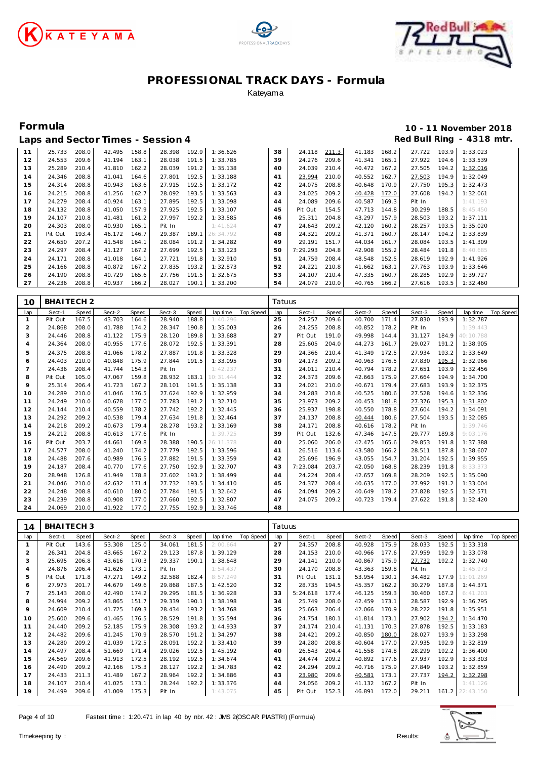





|    |         |       |        |       | Laps and Sector Times - Session 4 |       |           |    |          |       |        |       |        |       | Red Bull Ring - 4318 mtr. |
|----|---------|-------|--------|-------|-----------------------------------|-------|-----------|----|----------|-------|--------|-------|--------|-------|---------------------------|
| 11 | 25.733  | 208.0 | 42.495 | 158.8 | 28.398                            | 192.9 | 1:36.626  | 38 | 24.118   | 211.3 | 41.183 | 168.2 | 27.722 | 193.9 | 1:33.023                  |
| 12 | 24.553  | 209.6 | 41.194 | 163.1 | 28.038                            | 191.5 | 1:33.785  | 39 | 24.276   | 209.6 | 41.341 | 165.1 | 27.922 | 194.6 | 1:33.539                  |
| 13 | 25.289  | 210.4 | 41.810 | 162.2 | 28.039                            | 191.2 | 1:35.138  | 40 | 24.039   | 210.4 | 40.472 | 167.2 | 27.505 | 194.2 | 1:32.016                  |
| 14 | 24.346  | 208.8 | 41.041 | 164.6 | 27.801                            | 192.5 | 1:33.188  | 41 | 23.994   | 210.0 | 40.552 | 162.7 | 27.503 | 194.9 | 1:32.049                  |
| 15 | 24.314  | 208.8 | 40.943 | 163.6 | 27.915                            | 192.5 | 1:33.172  | 42 | 24.075   | 208.8 | 40.648 | 170.9 | 27.750 | 195.3 | 1:32.473                  |
| 16 | 24.215  | 208.8 | 41.256 | 162.7 | 28.092                            | 193.5 | 1:33.563  | 43 | 24.025   | 209.2 | 40.428 | 172.0 | 27.608 | 194.2 | 1:32.061                  |
| 17 | 24.279  | 208.4 | 40.924 | 163.1 | 27.895                            | 192.5 | 1:33.098  | 44 | 24.089   | 209.6 | 40.587 | 169.3 | Pit In |       | 1:41.193                  |
| 18 | 24.132  | 208.8 | 41.050 | 157.9 | 27.925                            | 192.5 | 1:33.107  | 45 | Pit Out  | 154.5 | 47.713 | 144.8 | 30.299 | 188.5 | 8:45.450                  |
| 19 | 24.107  | 210.8 | 41.481 | 161.2 | 27.997                            | 192.2 | 1:33.585  | 46 | 25.311   | 204.8 | 43.297 | 157.9 | 28.503 | 193.2 | 1:37.111                  |
| 20 | 24.303  | 208.0 | 40.930 | 165.1 | Pit In                            |       | 1:41.624  | 47 | 24.643   | 209.2 | 42.120 | 160.2 | 28.257 | 193.5 | 1:35.020                  |
| 21 | Pit Out | 193.4 | 46.172 | 146.7 | 29.387                            | 189.1 | 26:34.792 | 48 | 24.321   | 209.2 | 41.371 | 160.7 | 28.147 | 194.2 | 1:33.839                  |
| 22 | 24.650  | 207.2 | 41.548 | 164.1 | 28.084                            | 191.2 | 1:34.282  | 49 | 29.191   | 151.7 | 44.034 | 161.7 | 28.084 | 193.5 | 1:41.309                  |
| 23 | 24.297  | 208.4 | 41.127 | 167.2 | 27.699                            | 192.5 | 1:33.123  | 50 | 7:29.293 | 204.8 | 42.908 | 155.2 | 28.484 | 191.8 | 8:40.685                  |
| 24 | 24.171  | 208.8 | 41.018 | 164.1 | 27.721                            | 191.8 | 1:32.910  | 51 | 24.759   | 208.4 | 48.548 | 152.5 | 28.619 | 192.9 | 1:41.926                  |
| 25 | 24.166  | 208.8 | 40.872 | 167.2 | 27.835                            | 193.2 | 1:32.873  | 52 | 24.221   | 210.8 | 41.662 | 163.1 | 27.763 | 193.9 | 1:33.646                  |
| 26 | 24.190  | 208.8 | 40.729 | 165.6 | 27.756                            | 191.5 | 1:32.675  | 53 | 24.107   | 210.4 | 47.335 | 160.7 | 28.285 | 192.9 | 1:39.727                  |
| 27 | 24.236  | 208.8 | 40.937 | 166.2 | 28.027                            | 190.1 | 1:33.200  | 54 | 24.079   | 210.0 | 40.765 | 166.2 | 27.616 | 193.5 | 1:32.460                  |

| 10             | BHAITECH <sub>2</sub> |       |        |       |        |       |           |           | Tatuus |          |       |        |       |        |       |           |                  |
|----------------|-----------------------|-------|--------|-------|--------|-------|-----------|-----------|--------|----------|-------|--------|-------|--------|-------|-----------|------------------|
| lap            | Sect-1                | Speed | Sect-2 | Speed | Sect-3 | Speed | lap time  | Top Speed | lap    | Sect-1   | Speed | Sect-2 | Speed | Sect-3 | Speed | lap time  | <b>Top Speed</b> |
| $\mathbf{1}$   | Pit Out               | 167.5 | 43.703 | 164.6 | 28.940 | 188.8 | 1:40.296  |           | 25     | 24.257   | 209.6 | 40.700 | 171.4 | 27.830 | 193.9 | 1:32.787  |                  |
| 2              | 24.868                | 208.0 | 41.788 | 174.2 | 28.347 | 190.8 | 1:35.003  |           | 26     | 24.255   | 208.8 | 40.852 | 178.2 | Pit In |       | 1:39.443  |                  |
| 3              | 24.446                | 208.8 | 41.122 | 175.9 | 28.120 | 189.8 | 1:33.688  |           | 27     | Pit Out  | 191.0 | 49.998 | 144.4 | 31.127 | 184.9 | 40:10.788 |                  |
| 4              | 24.364                | 208.0 | 40.955 | 177.6 | 28.072 | 192.5 | 1:33.391  |           | 28     | 25.605   | 204.0 | 44.273 | 161.7 | 29.027 | 191.2 | 1:38.905  |                  |
| 5              | 24.375                | 208.8 | 41.066 | 178.2 | 27.887 | 191.8 | 1:33.328  |           | 29     | 24.366   | 210.4 | 41.349 | 172.5 | 27.934 | 193.2 | 1:33.649  |                  |
| 6              | 24.403                | 210.0 | 40.848 | 175.9 | 27.844 | 191.5 | 1:33.095  |           | 30     | 24.173   | 209.2 | 40.963 | 176.5 | 27.830 | 195.3 | 1:32.966  |                  |
| $\overline{7}$ | 24.436                | 208.4 | 41.744 | 154.3 | Pit In |       | 1:42.237  |           | 31     | 24.011   | 210.4 | 40.794 | 178.2 | 27.651 | 193.9 | 1:32.456  |                  |
| 8              | Pit Out               | 105.0 | 47.067 | 159.8 | 28.932 | 183.1 | 10:31.444 |           | 32     | 24.373   | 209.6 | 42.663 | 175.9 | 27.664 | 194.9 | 1:34.700  |                  |
| 9              | 25.314                | 206.4 | 41.723 | 167.2 | 28.101 | 191.5 | 1:35.138  |           | 33     | 24.021   | 210.0 | 40.671 | 179.4 | 27.683 | 193.9 | 1:32.375  |                  |
| 10             | 24.289                | 210.0 | 41.046 | 176.5 | 27.624 | 192.9 | 1:32.959  |           | 34     | 24.283   | 210.8 | 40.525 | 180.6 | 27.528 | 194.6 | 1:32.336  |                  |
| 11             | 24.249                | 210.0 | 40.678 | 177.0 | 27.783 | 191.2 | 1:32.710  |           | 35     | 23.973   | 209.2 | 40.453 | 181.8 | 27.376 | 195.3 | 1:31.802  |                  |
| 12             | 24.144                | 210.4 | 40.559 | 178.2 | 27.742 | 192.2 | 1:32.445  |           | 36     | 25.937   | 198.8 | 40.550 | 178.8 | 27.604 | 194.2 | 1:34.091  |                  |
| 13             | 24.292                | 209.2 | 40.538 | 179.4 | 27.634 | 191.8 | 1:32.464  |           | 37     | 24.137   | 208.8 | 40.444 | 180.6 | 27.504 | 193.5 | 1:32.085  |                  |
| 14             | 24.218                | 209.2 | 40.673 | 179.4 | 28.278 | 193.2 | 1:33.169  |           | 38     | 24.171   | 208.8 | 40.616 | 178.2 | Pit In |       | 1:39.746  |                  |
| 15             | 24.212                | 208.8 | 40.613 | 177.6 | Pit In |       | 1:39.725  |           | 39     | Pit Out  | 132.6 | 47.346 | 147.5 | 29.777 | 189.8 | 9:03.176  |                  |
| 16             | Pit Out               | 203.7 | 44.661 | 169.8 | 28.388 | 190.5 | 26:11.378 |           | 40     | 25.060   | 206.0 | 42.475 | 165.6 | 29.853 | 191.8 | 1:37.388  |                  |
| 17             | 24.577                | 208.0 | 41.240 | 174.2 | 27.779 | 192.5 | 1:33.596  |           | 41     | 26.516   | 113.6 | 43.580 | 166.2 | 28.511 | 187.8 | 1:38.607  |                  |
| 18             | 24.488                | 207.6 | 40.989 | 176.5 | 27.882 | 191.5 | 1:33.359  |           | 42     | 25.696   | 196.9 | 43.055 | 154.7 | 31.204 | 192.5 | 1:39.955  |                  |
| 19             | 24.187                | 208.4 | 40.770 | 177.6 | 27.750 | 192.9 | 1:32.707  |           | 43     | 7:23.084 | 203.7 | 42.050 | 168.8 | 28.239 | 191.8 | 8:33.373  |                  |
| 20             | 28.948                | 126.8 | 41.949 | 178.8 | 27.602 | 193.2 | 1:38.499  |           | 44     | 24.224   | 208.4 | 42.657 | 169.8 | 28.209 | 192.5 | 1:35.090  |                  |
| 21             | 24.046                | 210.0 | 42.632 | 171.4 | 27.732 | 193.5 | 1:34.410  |           | 45     | 24.377   | 208.4 | 40.635 | 177.0 | 27.992 | 191.2 | 1:33.004  |                  |
| 22             | 24.248                | 208.8 | 40.610 | 180.0 | 27.784 | 191.5 | 1:32.642  |           | 46     | 24.094   | 209.2 | 40.649 | 178.2 | 27.828 | 192.5 | 1:32.571  |                  |
| 23             | 24.239                | 208.8 | 40.908 | 177.0 | 27.660 | 192.5 | 1:32.807  |           | 47     | 24.075   | 209.2 | 40.723 | 179.4 | 27.622 | 191.8 | 1:32.420  |                  |
| 24             | 24.069                | 210.0 | 41.922 | 177.0 | 27.755 | 192.9 | 1:33.746  |           | 48     |          |       |        |       |        |       |           |                  |

| 14             | <b>BHAITECH3</b> |       |        |       |        |       |          |           | Tatuus |          |       |        |       |        |       |                 |           |
|----------------|------------------|-------|--------|-------|--------|-------|----------|-----------|--------|----------|-------|--------|-------|--------|-------|-----------------|-----------|
| lap            | Sect-1           | Speed | Sect-2 | Speed | Sect-3 | Speed | lap time | Top Speed | lap    | Sect-1   | Speed | Sect-2 | Speed | Sect-3 | Speed | lap time        | Top Speed |
|                | Pit Out          | 143.6 | 53.308 | 125.0 | 34.061 | 181.5 | 2:00.664 |           | 27     | 24.357   | 208.8 | 40.928 | 175.9 | 28.033 | 192.5 | 1:33.318        |           |
| $\overline{2}$ | 26.341           | 204.8 | 43.665 | 167.2 | 29.123 | 187.8 | 1:39.129 |           | 28     | 24.153   | 210.0 | 40.966 | 177.6 | 27.959 | 192.9 | 1:33.078        |           |
| 3              | 25.695           | 206.8 | 43.616 | 170.3 | 29.337 | 190.1 | 1:38.648 |           | 29     | 24.141   | 210.0 | 40.867 | 175.9 | 27.732 | 192.2 | 1:32.740        |           |
| 4              | 24.876           | 206.4 | 41.626 | 173.1 | Pit In |       | 1:54.437 |           | 30     | 24.170   | 208.8 | 43.363 | 159.8 | Pit In |       | 1:45.973        |           |
| 5              | Pit Out          | 171.8 | 47.271 | 149.2 | 32.588 | 182.4 | 8:57.249 |           | 31     | Pit Out  | 131.1 | 53.954 | 130.1 | 34.482 | 177.9 | 11:01.269       |           |
| 6              | 27.973           | 201.7 | 44.679 | 149.6 | 29.868 | 187.5 | 1:42.520 |           | 32     | 28.735   | 194.5 | 45.357 | 162.2 | 30.279 | 187.8 | 1:44.371        |           |
|                | 25.143           | 208.0 | 42.490 | 174.2 | 29.295 | 181.5 | 1:36.928 |           | 33     | 5:24.618 | 177.4 | 46.125 | 159.3 | 30.460 | 167.2 | 6:41.203        |           |
| 8              | 24.994           | 209.2 | 43.865 | 151.7 | 29.339 | 190.1 | 1:38.198 |           | 34     | 25.749   | 208.0 | 42.459 | 173.1 | 28.587 | 192.9 | 1:36.795        |           |
| 9              | 24.609           | 210.4 | 41.725 | 169.3 | 28.434 | 193.2 | 1:34.768 |           | 35     | 25.663   | 206.4 | 42.066 | 170.9 | 28.222 | 191.8 | 1:35.951        |           |
| 10             | 25.600           | 209.6 | 41.465 | 176.5 | 28.529 | 191.8 | 1:35.594 |           | 36     | 24.754   | 180.1 | 41.814 | 173.1 | 27.902 | 194.2 | 1:34.470        |           |
| 11             | 24.440           | 209.2 | 52.185 | 175.9 | 28.308 | 193.2 | 1:44.933 |           | 37     | 24.174   | 210.4 | 41.131 | 170.3 | 27.878 | 192.5 | 1:33.183        |           |
| 12             | 24.482           | 209.6 | 41.245 | 170.9 | 28.570 | 191.2 | 1:34.297 |           | 38     | 24.421   | 209.2 | 40.850 | 180.0 | 28.027 | 193.9 | 1:33.298        |           |
| 13             | 24.280           | 209.2 | 41.039 | 172.5 | 28.091 | 192.2 | 1:33.410 |           | 39     | 24.280   | 208.8 | 40.604 | 177.0 | 27.935 | 192.9 | 1:32.819        |           |
| 14             | 24.497           | 208.4 | 51.669 | 171.4 | 29.026 | 192.5 | 1:45.192 |           | 40     | 26.543   | 204.4 | 41.558 | 174.8 | 28.299 | 192.2 | 1:36.400        |           |
| 15             | 24.569           | 209.6 | 41.913 | 172.5 | 28.192 | 192.5 | 1:34.674 |           | 41     | 24.474   | 209.2 | 40.892 | 177.6 | 27.937 | 192.9 | 1:33.303        |           |
| 16             | 24.490           | 209.2 | 42.166 | 175.3 | 28.127 | 192.2 | 1:34.783 |           | 42     | 24.294   | 209.2 | 40.716 | 175.9 | 27.849 | 193.2 | 1:32.859        |           |
| 17             | 24.433           | 211.3 | 41.489 | 167.2 | 28.964 | 192.2 | 1:34.886 |           | 43     | 23.980   | 209.6 | 40.581 | 173.1 | 27.737 | 194.2 | 1:32.298        |           |
| 18             | 24.107           | 210.4 | 41.025 | 173.1 | 28.244 | 192.2 | 1:33.376 |           | 44     | 24.056   | 209.2 | 41.132 | 167.2 | Pit In |       | 1:41.126        |           |
| 19             | 24.499           | 209.6 | 41.009 | 175.3 | Pit In |       | 1:43.075 |           | 45     | Pit Out  | 152.3 | 46.891 | 172.0 | 29.211 |       | 161.2 22:43.150 |           |

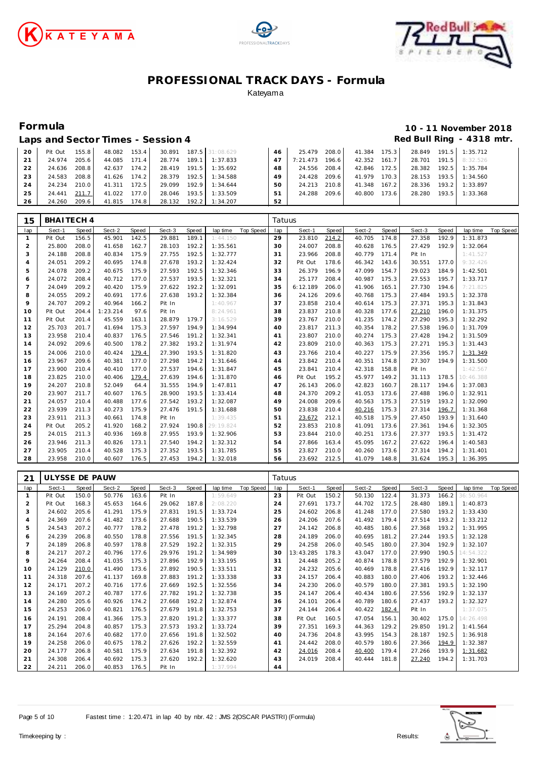





## **Formula 10 - 11 November 2018 Red Bull Ring - 4318 mtr.**<br>1 **25479** 2080 - 41384 1753 28849 1915 1:35712

|  | Laps and Sector Times - Session 4 |  |  |                                                      |    |
|--|-----------------------------------|--|--|------------------------------------------------------|----|
|  |                                   |  |  | 20 Pit Out 155.8 48.082 153.4 30.891 187.5 31:08.629 | 46 |

| -20 | Pit Out | 155.8 | 48.082 | 153.4 |        |       | 30.891 187.5 31:08.629 | 46 | 25.479   | 208.0 | 41.384 175.3 |       |              |       | 28.849 191.5 1:35.712 |
|-----|---------|-------|--------|-------|--------|-------|------------------------|----|----------|-------|--------------|-------|--------------|-------|-----------------------|
| 21  | 24.974  | 205.6 | 44.085 | 171.4 | 28.774 |       | 189.1 1:37.833         | 47 | 7:21.473 | 196.6 | 42.352       | 161.7 | 28.701       |       | 191.5 8:32.526        |
| 22  | 24.636  | 208.8 | 42.637 | 174.2 | 28.419 |       | 191.5 1:35.692         | 48 | 24.556   | 208.4 | 42.846       | 172.5 | 28.382 192.5 |       | 1:35.784              |
| 23  | 24.583  | 208.8 | 41.626 | 174.2 | 28.379 |       | $192.5$ 1:34.588       | 49 | 24.428   | 209.6 | 41.979       | 170.3 | 28.153       | 193.5 | 1:34.560              |
| 24  | 24.234  | 210.0 | 41.311 | 172.5 | 29.099 | 192.9 | 1:34.644               | 50 | 24.213   | 210.8 | 41.348       | 167.2 | 28.336       | 193.2 | 1:33.897              |
| 25  | 24.441  | 211.7 | 41.022 | 177.0 | 28.046 | 193.5 | 1:33.509               | 51 | 24.288   | 209.6 | 40.800       | 173.6 | 28.280       | 193.5 | 1:33.368              |
| 26  | 24.260  | 209.6 | 41.815 | 174.8 |        |       | 28.132 192.2 1:34.207  | 52 |          |       |              |       |              |       |                       |

| 15             | BHAITECH 4 |              |          |       |        |       |           |           | Tatuus |          |       |        |       |        |       |           |           |
|----------------|------------|--------------|----------|-------|--------|-------|-----------|-----------|--------|----------|-------|--------|-------|--------|-------|-----------|-----------|
| lap            | Sect-1     | <b>Speed</b> | Sect-2   | Speed | Sect-3 | Speed | lap time  | Top Speed | lap    | Sect-1   | Speed | Sect-2 | Speed | Sect-3 | Speed | lap time  | Top Speed |
| $\mathbf{1}$   | Pit Out    | 156.5        | 45.901   | 142.5 | 29.881 | 189.1 | 1:44.150  |           | 29     | 23.810   | 214.2 | 40.705 | 174.8 | 27.358 | 192.9 | 1:31.873  |           |
| 2              | 25.800     | 208.0        | 41.658   | 162.7 | 28.103 | 192.2 | 1:35.561  |           | 30     | 24.007   | 208.8 | 40.628 | 176.5 | 27.429 | 192.9 | 1:32.064  |           |
| 3              | 24.188     | 208.8        | 40.834   | 175.9 | 27.755 | 192.5 | 1:32.777  |           | 31     | 23.966   | 208.8 | 40.779 | 171.4 | Pit In |       | 1:41.527  |           |
| 4              | 24.051     | 209.2        | 40.695   | 174.8 | 27.678 | 193.2 | 1:32.424  |           | 32     | Pit Out  | 178.6 | 46.342 | 143.6 | 30.551 | 177.0 | 9:32.426  |           |
| 5              | 24.078     | 209.2        | 40.675   | 175.9 | 27.593 | 192.5 | 1:32.346  |           | 33     | 26.379   | 196.9 | 47.099 | 154.7 | 29.023 | 184.9 | 1:42.501  |           |
| 6              | 24.072     | 208.4        | 40.712   | 177.0 | 27.537 | 193.5 | 1:32.321  |           | 34     | 25.177   | 208.4 | 40.987 | 175.3 | 27.553 | 195.7 | 1:33.717  |           |
| $\overline{7}$ | 24.049     | 209.2        | 40.420   | 175.9 | 27.622 | 192.2 | 1:32.091  |           | 35     | 6:12.189 | 206.0 | 41.906 | 165.1 | 27.730 | 194.6 | 7:21.825  |           |
| 8              | 24.055     | 209.2        | 40.691   | 177.6 | 27.638 | 193.2 | 1:32.384  |           | 36     | 24.126   | 209.6 | 40.768 | 175.3 | 27.484 | 193.5 | 1:32.378  |           |
| 9              | 24.707     | 209.2        | 40.964   | 166.2 | Pit In |       | 1:40.967  |           | 37     | 23.858   | 210.4 | 40.614 | 175.3 | 27.371 | 195.3 | 1:31.843  |           |
| 10             | Pit Out    | 204.4        | 1:23.214 | 97.6  | Pit In |       | 8:24.961  |           | 38     | 23.837   | 210.8 | 40.328 | 177.6 | 27.210 | 196.0 | 1:31.375  |           |
| 11             | Pit Out    | 201.4        | 45.559   | 163.1 | 28.879 | 179.7 | 3:16.529  |           | 39     | 23.767   | 210.0 | 41.235 | 174.2 | 27.290 | 195.3 | 1:32.292  |           |
| 12             | 25.703     | 201.7        | 41.694   | 175.3 | 27.597 | 194.9 | 1:34.994  |           | 40     | 23.817   | 211.3 | 40.354 | 178.2 | 27.538 | 196.0 | 1:31.709  |           |
| 13             | 23.958     | 210.4        | 40.837   | 176.5 | 27.546 | 191.2 | 1:32.341  |           | 41     | 23.807   | 210.0 | 40.274 | 175.3 | 27.428 | 194.2 | 1:31.509  |           |
| 14             | 24.092     | 209.6        | 40.500   | 178.2 | 27.382 | 193.2 | 1:31.974  |           | 42     | 23.809   | 210.0 | 40.363 | 175.3 | 27.271 | 195.3 | 1:31.443  |           |
| 15             | 24.006     | 210.0        | 40.424   | 179.4 | 27.390 | 193.5 | 1:31.820  |           | 43     | 23.766   | 210.4 | 40.227 | 175.9 | 27.356 | 195.7 | 1:31.349  |           |
| 16             | 23.967     | 209.6        | 40.381   | 177.0 | 27.298 | 194.2 | 1:31.646  |           | 44     | 23.842   | 210.4 | 40.351 | 174.8 | 27.307 | 194.9 | 1:31.500  |           |
| 17             | 23.900     | 210.4        | 40.410   | 177.0 | 27.537 | 194.6 | 1:31.847  |           | 45     | 23.841   | 210.4 | 42.318 | 158.8 | Pit In |       | 1:42.567  |           |
| 18             | 23.825     | 210.0        | 40.406   | 179.4 | 27.639 | 194.6 | 1:31.870  |           | 46     | Pit Out  | 195.2 | 45.977 | 149.2 | 31.113 | 178.5 | 10:46.388 |           |
| 19             | 24.207     | 210.8        | 52.049   | 64.4  | 31.555 | 194.9 | 1:47.811  |           | 47     | 26.143   | 206.0 | 42.823 | 160.7 | 28.117 | 194.6 | 1:37.083  |           |
| 20             | 23.907     | 211.7        | 40.607   | 176.5 | 28.900 | 193.5 | 1:33.414  |           | 48     | 24.370   | 209.2 | 41.053 | 173.6 | 27.488 | 196.0 | 1:32.911  |           |
| 21             | 24.057     | 210.4        | 40.488   | 177.6 | 27.542 | 193.2 | 1:32.087  |           | 49     | 24.008   | 209.6 | 40.563 | 175.3 | 27.519 | 193.2 | 1:32.090  |           |
| 22             | 23.939     | 211.3        | 40.273   | 175.9 | 27.476 | 191.5 | 1:31.688  |           | 50     | 23.838   | 210.4 | 40.216 | 175.3 | 27.314 | 196.7 | 1:31.368  |           |
| 23             | 23.911     | 211.3        | 40.661   | 174.8 | Pit In |       | 1:39.435  |           | 51     | 23.672   | 212.1 | 40.518 | 175.9 | 27.450 | 193.9 | 1:31.640  |           |
| 24             | Pit Out    | 205.2        | 41.920   | 168.2 | 27.924 | 190.8 | 29:19.824 |           | 52     | 23.853   | 210.8 | 41.091 | 173.6 | 27.361 | 194.6 | 1:32.305  |           |
| 25             | 24.015     | 211.3        | 40.936   | 169.8 | 27.955 | 193.9 | 1:32.906  |           | 53     | 23.844   | 210.0 | 40.251 | 173.6 | 27.377 | 193.5 | 1:31.472  |           |
| 26             | 23.946     | 211.3        | 40.826   | 173.1 | 27.540 | 194.2 | 1:32.312  |           | 54     | 27.866   | 163.4 | 45.095 | 167.2 | 27.622 | 196.4 | 1:40.583  |           |
| 27             | 23.905     | 210.4        | 40.528   | 175.3 | 27.352 | 193.5 | 1:31.785  |           | 55     | 23.827   | 210.0 | 40.260 | 173.6 | 27.314 | 194.2 | 1:31.401  |           |
| 28             | 23.958     | 210.0        | 40.607   | 176.5 | 27.453 | 194.2 | 1:32.018  |           | 56     | 23.692   | 212.5 | 41.079 | 148.8 | 31.624 | 195.3 | 1:36.395  |           |

| 21             | ULYSSE DE PAUW |       |        |       |        |       |          |           | Tatuus |           |       |        |       |        |       |           |           |
|----------------|----------------|-------|--------|-------|--------|-------|----------|-----------|--------|-----------|-------|--------|-------|--------|-------|-----------|-----------|
| lap            | Sect-1         | Speed | Sect-2 | Speed | Sect-3 | Speed | lap time | Top Speed | lap    | Sect-1    | Speed | Sect-2 | Speed | Sect-3 | Speed | lap time  | Top Speed |
| $\mathbf{1}$   | Pit Out        | 150.0 | 50.776 | 163.6 | Pit In |       | 1:59.649 |           | 23     | Pit Out   | 150.2 | 50.130 | 122.4 | 31.373 | 166.2 | 36:50.964 |           |
| $\overline{2}$ | Pit Out        | 168.3 | 45.653 | 164.6 | 29.062 | 187.8 | 2:08.220 |           | 24     | 27.691    | 173.7 | 44.702 | 172.5 | 28.480 | 189.1 | 1:40.873  |           |
| 3              | 24.602         | 205.6 | 41.291 | 175.9 | 27.831 | 191.5 | 1:33.724 |           | 25     | 24.602    | 206.8 | 41.248 | 177.0 | 27.580 | 193.2 | 1:33.430  |           |
| $\overline{4}$ | 24.369         | 207.6 | 41.482 | 173.6 | 27.688 | 190.5 | 1:33.539 |           | 26     | 24.206    | 207.6 | 41.492 | 179.4 | 27.514 | 193.2 | 1:33.212  |           |
| 5              | 24.543         | 207.2 | 40.777 | 178.2 | 27.478 | 191.2 | 1:32.798 |           | 27     | 24.142    | 206.8 | 40.485 | 180.6 | 27.368 | 193.2 | 1:31.995  |           |
| 6              | 24.239         | 206.8 | 40.550 | 178.8 | 27.556 | 191.5 | 1:32.345 |           | 28     | 24.189    | 206.0 | 40.695 | 181.2 | 27.244 | 193.5 | 1:32.128  |           |
| 7              | 24.189         | 206.8 | 40.597 | 178.8 | 27.529 | 192.2 | 1:32.315 |           | 29     | 24.258    | 206.0 | 40.545 | 180.0 | 27.304 | 192.9 | 1:32.107  |           |
| 8              | 24.217         | 207.2 | 40.796 | 177.6 | 29.976 | 191.2 | 1:34.989 |           | 30     | 13:43.285 | 178.3 | 43.047 | 177.0 | 27.990 | 190.5 | 14:54.322 |           |
| 9              | 24.264         | 208.4 | 41.035 | 175.3 | 27.896 | 192.9 | 1:33.195 |           | 31     | 24.448    | 205.2 | 40.874 | 178.8 | 27.579 | 192.9 | 1:32.901  |           |
| 10             | 24.129         | 210.0 | 41.490 | 173.6 | 27.892 | 190.5 | 1:33.511 |           | 32     | 24.232    | 205.6 | 40.469 | 178.8 | 27.416 | 192.9 | 1:32.117  |           |
| 11             | 24.318         | 207.6 | 41.137 | 169.8 | 27.883 | 191.2 | 1:33.338 |           | 33     | 24.157    | 206.4 | 40.883 | 180.0 | 27.406 | 193.2 | 1:32.446  |           |
| 12             | 24.171         | 207.2 | 40.716 | 177.6 | 27.669 | 192.5 | 1:32.556 |           | 34     | 24.230    | 206.0 | 40.579 | 180.0 | 27.381 | 193.5 | 1:32.190  |           |
| 13             | 24.169         | 207.2 | 40.787 | 177.6 | 27.782 | 191.2 | 1:32.738 |           | 35     | 24.147    | 206.4 | 40.434 | 180.6 | 27.556 | 192.9 | 1:32.137  |           |
| 14             | 24.280         | 205.6 | 40.926 | 174.2 | 27.668 | 192.2 | 1:32.874 |           | 36     | 24.101    | 206.4 | 40.789 | 180.6 | 27.437 | 193.2 | 1:32.327  |           |
| 15             | 24.253         | 206.0 | 40.821 | 176.5 | 27.679 | 191.8 | 1:32.753 |           | 37     | 24.144    | 206.4 | 40.422 | 182.4 | Pit In |       | 1:37.075  |           |
| 16             | 24.191         | 208.4 | 41.366 | 175.3 | 27.820 | 191.2 | 1:33.377 |           | 38     | Pit Out   | 160.5 | 47.054 | 156.1 | 30.402 | 175.0 | 14:26.498 |           |
| 17             | 25.294         | 204.8 | 40.857 | 175.3 | 27.573 | 193.2 | 1:33.724 |           | 39     | 27.351    | 169.3 | 44.363 | 129.2 | 29.850 | 191.2 | 1:41.564  |           |
| 18             | 24.164         | 207.6 | 40.682 | 177.0 | 27.656 | 191.8 | 1:32.502 |           | 40     | 24.736    | 204.8 | 43.995 | 154.3 | 28.187 | 192.5 | 1:36.918  |           |
| 19             | 24.258         | 206.0 | 40.675 | 178.2 | 27.626 | 192.2 | 1:32.559 |           | 41     | 24.442    | 208.0 | 40.579 | 180.6 | 27.366 | 194.9 | 1:32.387  |           |
| 20             | 24.177         | 206.8 | 40.581 | 175.9 | 27.634 | 191.8 | 1:32.392 |           | 42     | 24.016    | 208.4 | 40.400 | 179.4 | 27.266 | 193.9 | 1:31.682  |           |
| 21             | 24.308         | 206.4 | 40.692 | 175.3 | 27.620 | 192.2 | 1:32.620 |           | 43     | 24.019    | 208.4 | 40.444 | 181.8 | 27.240 | 194.2 | 1:31.703  |           |
| 22             | 24.211         | 206.0 | 40.853 | 176.5 | Pit In |       | 1:37.994 |           | 44     |           |       |        |       |        |       |           |           |

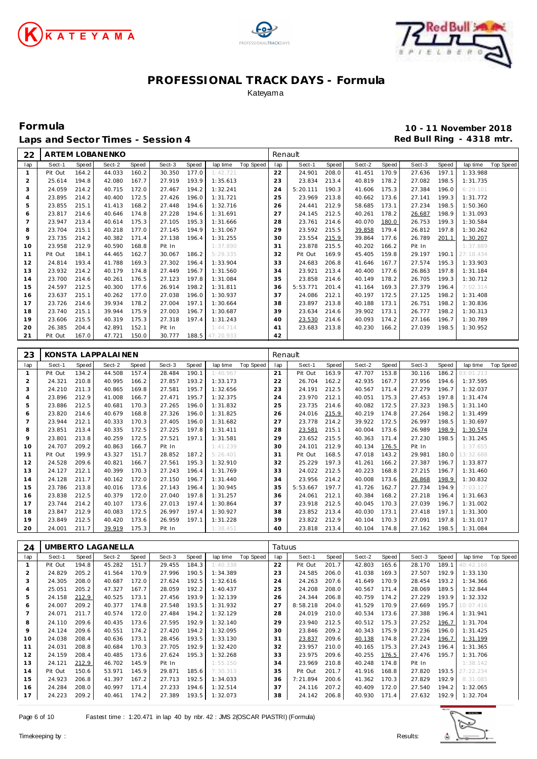





**Formula 10 - 11 November 2018** Laps and Sector Times - Session 4 *Red Bull Ring - 4318 mtr.* 

ARTEM LOBANENKO

| lap            | Sect-1  | Speed | Sect-2             | Speed | Sect-3       | Speed | lap time  | Top Speed | lap     | Sect-1         | Speed | Sect-2       | Speed | Sect-3 | Speed        | lap time       | Top Speed |
|----------------|---------|-------|--------------------|-------|--------------|-------|-----------|-----------|---------|----------------|-------|--------------|-------|--------|--------------|----------------|-----------|
| $\mathbf{1}$   | Pit Out | 164.2 | 44.033             | 160.2 | 30.350       | 177.0 | 1:42.721  |           | 22      | 24.901         | 208.0 | 41.451       | 170.9 | 27.636 | 197.1        | 1:33.988       |           |
| $\overline{c}$ | 25.614  | 194.8 | 42.080             | 167.7 | 27.919       | 193.9 | 1:35.613  |           | 23      | 23.834         | 213.4 | 40.819       | 178.2 | 27.082 | 198.5        | 1:31.735       |           |
| 3              | 24.059  | 214.2 | 40.715             | 172.0 | 27.467       | 194.2 | 1:32.241  |           | 24      | 5:20.111       | 190.3 | 41.606       | 175.3 | 27.384 | 196.0        | 6:29.101       |           |
| $\overline{4}$ | 23.895  | 214.2 | 40.400             | 172.5 | 27.426       | 196.0 | 1:31.721  |           | 25      | 23.969         | 213.8 | 40.662       | 173.6 | 27.141 | 199.3        | 1:31.772       |           |
| 5              | 23.855  | 215.1 | 41.413             | 168.2 | 27.448       | 194.6 | 1:32.716  |           | 26      | 24.441         | 212.9 | 58.685       | 173.1 | 27.234 | 198.5        | 1:50.360       |           |
| 6              | 23.817  | 214.6 | 40.646             | 174.8 | 27.228       | 194.6 | 1:31.691  |           | 27      | 24.145         | 212.5 | 40.261       | 178.2 | 26.687 | 198.9        | 1:31.093       |           |
| $\overline{7}$ | 23.947  | 213.4 | 40.614             | 175.3 | 27.105       | 195.3 | 1:31.666  |           | 28      | 23.761         | 214.6 | 40.070       | 180.0 | 26.753 | 199.3        | 1:30.584       |           |
| 8              | 23.704  | 215.1 | 40.218             | 177.0 | 27.145       | 194.9 | 1:31.067  |           | 29      | 23.592         | 215.5 | 39.858       | 179.4 | 26.812 | 197.8        | 1:30.262       |           |
| 9              | 23.735  | 214.2 | 40.382             | 171.4 | 27.138       | 196.4 | 1:31.255  |           | 30      | 23.554         | 215.9 | 39.864       | 177.6 | 26.789 | 201.1        | 1:30.207       |           |
| 10             | 23.958  | 212.9 | 40.590             | 168.8 | Pit In       |       | 1:37.890  |           | 31      | 23.878         | 215.5 | 40.202       | 166.2 | Pit In |              | 1:37.889       |           |
| 11             | Pit Out | 184.1 | 44.465             | 162.7 | 30.067       | 186.2 | 5:29.335  |           | 32      | Pit Out        | 169.9 | 45.405       | 159.8 | 29.197 | 190.1        | 27:18.434      |           |
|                |         |       |                    |       |              |       |           |           |         |                |       |              |       |        |              |                |           |
| 12             | 24.814  | 193.4 | 41.788             | 169.3 | 27.302       | 196.4 | 1:33.904  |           | 33      | 24.683         | 206.8 | 41.646       | 167.7 | 27.574 | 195.3        | 1:33.903       |           |
| 13             | 23.932  | 214.2 | 40.179             | 174.8 | 27.449       | 196.7 | 1:31.560  |           | 34      | 23.921         | 213.4 | 40.400       | 177.6 | 26.863 | 197.8        | 1:31.184       |           |
| 14             | 23.700  | 214.6 | 40.261             | 176.5 | 27.123       | 197.8 | 1:31.084  |           | 35      | 23.858         | 214.6 | 40.149       | 178.2 | 26.705 | 199.3        | 1:30.712       |           |
| 15             | 24.597  | 212.5 | 40.300             | 177.6 | 26.914       | 198.2 | 1:31.811  |           | 36      | 5:53.771       | 201.4 | 41.164       | 169.3 | 27.379 | 196.4        | 7:02.314       |           |
| 16             | 23.637  | 215.1 | 40.262             | 177.0 | 27.038       | 196.0 | 1:30.937  |           | 37      | 24.086         | 212.1 | 40.197       | 172.5 | 27.125 | 198.2        | 1:31.408       |           |
| 17             | 23.726  | 214.6 | 39.934             | 178.2 | 27.004       | 197.1 | 1:30.664  |           | 38      | 23.897         | 213.8 | 40.188       | 173.1 | 26.751 | 198.2        | 1:30.836       |           |
| 18             | 23.740  | 215.1 | 39.944             | 175.9 | 27.003       | 196.7 | 1:30.687  |           | 39      | 23.634         | 214.6 | 39.902       | 173.1 | 26.777 | 198.2        | 1:30.313       |           |
| 19             | 23.606  | 215.5 | 40.319             | 175.3 | 27.318       | 197.4 | 1:31.243  |           | 40      | 23.530         | 214.6 | 40.093       | 174.2 | 27.166 | 196.7        | 1:30.789       |           |
| 20             | 26.385  | 204.4 | 42.891             | 152.1 | Pit In       |       | 1:44.714  |           | 41      | 23.683         | 213.8 | 40.230       | 166.2 | 27.039 | 198.5        | 1:30.952       |           |
| 21             | Pit Out | 167.0 | 47.721             | 150.0 | 30.777       | 188.5 | 47:20.933 |           | 42      |                |       |              |       |        |              |                |           |
|                |         |       |                    |       |              |       |           |           |         |                |       |              |       |        |              |                |           |
| 23             |         |       | KONSTA LAPPALAINEN |       |              |       |           |           | Renault |                |       |              |       |        |              |                |           |
|                |         |       |                    |       |              |       |           |           |         |                |       |              |       |        |              |                |           |
| lap            | Sect-1  | Speed | Sect-2             | Speed | Sect-3       | Speed | lap time  | Top Speed | lap     | Sect-1         | Speed | Sect-2       | Speed | Sect-3 | Speed        | lap time       | Top Speed |
| $\mathbf{1}$   | Pit Out | 134.2 | 44.508             | 157.4 | 28.484       | 190.1 | 1:40.967  |           | 21      | Pit Out        | 163.9 | 47.707       | 153.8 | 30.116 | 186.2        | 03:01.213      |           |
| $\overline{2}$ | 24.321  | 210.8 | 40.995             | 166.2 | 27.857       | 193.2 | 1:33.173  |           | 22      | 26.704         | 162.2 | 42.935       | 167.7 | 27.956 | 194.6        | 1:37.595       |           |
| 3              | 24.210  | 211.3 | 40.865             | 169.8 | 27.581       | 195.7 | 1:32.656  |           | 23      | 24.191         | 212.5 | 40.567       | 171.4 | 27.279 | 196.7        | 1:32.037       |           |
| $\overline{4}$ | 23.896  | 212.9 | 41.008             | 166.7 | 27.471       | 195.7 | 1:32.375  |           | 24      | 23.970         | 212.1 | 40.051       | 175.3 | 27.453 | 197.8        | 1:31.474       |           |
| 5              | 23.886  | 212.5 | 40.681             | 170.3 | 27.265       | 196.0 | 1:31.832  |           | 25      | 23.735         | 214.6 | 40.082       | 172.5 | 27.323 | 198.5        | 1:31.140       |           |
| 6              | 23.820  | 214.6 | 40.679             | 168.8 | 27.326       | 196.0 | 1:31.825  |           | 26      | 24.016         | 215.9 | 40.219       | 174.8 | 27.264 | 198.2        | 1:31.499       |           |
| $\overline{7}$ | 23.944  | 212.1 | 40.333             | 170.3 | 27.405       | 196.0 | 1:31.682  |           | 27      | 23.778         | 214.2 | 39.922       | 172.5 | 26.997 | 198.5        | 1:30.697       |           |
| 8              | 23.851  | 213.4 | 40.335             | 172.5 | 27.225       | 197.8 | 1:31.411  |           | 28      | 23.581         | 215.1 | 40.004       | 173.6 | 26.989 | 198.9        | 1:30.574       |           |
| 9              | 23.801  | 213.8 | 40.259             | 172.5 | 27.521       | 197.1 | 1:31.581  |           | 29      | 23.652         | 215.5 | 40.363       | 171.4 | 27.230 | 198.5        | 1:31.245       |           |
| 10             | 24.707  | 209.2 | 40.863             | 166.7 | Pit In       |       | 1:41.239  |           | 30      | 24.101         | 212.9 | 40.134       | 176.5 | Pit In |              | 1:37.655       |           |
| 11             | Pit Out | 199.9 | 43.327             | 151.7 | 28.852       | 187.2 | 5:26.401  |           | 31      | Pit Out        | 168.5 | 47.018       | 143.2 | 29.981 | 180.0        | 13:32.688      |           |
| 12             | 24.528  | 209.6 | 40.821             | 166.7 | 27.561       | 195.3 | 1:32.910  |           | 32      | 25.229         | 197.3 | 41.261       | 166.2 | 27.387 | 196.7        | 1:33.877       |           |
| 13             | 24.127  | 212.1 | 40.399             | 170.3 | 27.243       | 196.4 | 1:31.769  |           | 33      | 24.022         | 212.5 | 40.223       | 168.8 | 27.215 | 196.7        | 1:31.460       |           |
| 14             | 24.128  | 211.7 | 40.162             | 172.0 | 27.150       | 196.7 | 1:31.440  |           | 34      | 23.956         | 214.2 | 40.008       | 173.6 | 26.868 | 198.9        | 1:30.832       |           |
| 15             | 23.786  | 213.8 | 40.016             | 173.6 | 27.143       | 196.4 | 1:30.945  |           | 35      | 5:53.667       | 197.7 | 41.726       | 162.7 | 27.734 | 194.9        | 7:03.127       |           |
| 16             | 23.838  | 212.5 | 40.379             | 172.0 | 27.040       | 197.8 | 1:31.257  |           | 36      | 24.061         | 212.1 | 40.384       | 168.2 | 27.218 | 196.4        | 1:31.663       |           |
| 17             | 23.744  | 214.2 | 40.107             | 173.6 | 27.013       | 197.4 | 1:30.864  |           | 37      | 23.918         | 212.5 | 40.045       | 170.3 | 27.039 | 196.7        | 1:31.002       |           |
| 18             | 23.847  | 212.9 | 40.083             | 172.5 | 26.997       | 197.4 | 1:30.927  |           | 38      | 23.852         | 213.4 | 40.030       | 173.1 | 27.418 | 197.1        | 1:31.300       |           |
| 19             | 23.849  | 212.5 | 40.420             | 173.6 | 26.959       | 197.1 | 1:31.228  |           | 39      | 23.822         | 212.9 | 40.104       | 170.3 | 27.091 | 197.8        | 1:31.017       |           |
| 20             | 24.001  | 211.7 | 39.919             | 175.3 | Pit In       |       | 1:38.451  |           | 40      | 23.818         | 213.4 | 40.104       | 174.8 | 27.162 | 198.5        | 1:31.084       |           |
|                |         |       |                    |       |              |       |           |           |         |                |       |              |       |        |              |                |           |
|                |         |       |                    |       |              |       |           |           |         |                |       |              |       |        |              |                |           |
| 24             |         |       | UMBERTO LAGANELLA  |       |              |       |           |           | Tatuus  |                |       |              |       |        |              |                |           |
| lap            | Sect-1  | Speed | Sect-2             | Speed | Sect-3       | Speed | lap time  | Top Speed | lap     | Sect-1         | Speed | Sect-2       | Speed | Sect-3 | <b>Speed</b> | lap time       | Top Speed |
| $\mathbf{1}$   | Pit Out | 194.8 | 45.282             | 151.7 | 29.455       | 184.3 |           |           | 22      | Pit Out        | 201.7 | 42.803       | 165.6 | 28.170 | 189.1        |                |           |
| $\overline{c}$ | 24.829  | 205.2 | 41.564             | 170.9 | 27.996       | 190.5 | 1:34.389  |           | 23      | 24.585         | 206.0 | 41.038 169.3 |       | 27.507 | 192.9        | 1:33.130       |           |
| 3              | 24.305  | 208.0 | 40.687             | 172.0 | 27.624       | 192.5 | 1:32.616  |           | 24      | 24.263         | 207.6 | 41.649       | 170.9 | 28.454 | 193.2        | 1:34.366       |           |
| 4              | 25.051  | 205.2 | 47.327             | 167.7 | 28.059       | 192.2 | 1:40.437  |           | 25      | 24.208         | 208.0 | 40.567 171.4 |       | 28.069 | 189.5        | 1:32.844       |           |
| 5              | 24.158  | 212.9 | 40.525             | 173.1 | 27.456       | 193.9 | 1:32.139  |           | 26      | 24.344         | 206.8 | 40.759 174.2 |       | 27.229 | 193.9        | 1:32.332       |           |
| 6              | 24.007  | 209.2 | 40.377             | 174.8 | 27.548       | 193.5 | 1:31.932  |           | 27      | 8:58.218       | 204.0 | 41.529 170.9 |       | 27.669 | 195.7        | 10:07.416      |           |
| $\overline{7}$ | 24.071  | 211.7 | 40.574             | 172.0 | 27.484       | 194.2 | 1:32.129  |           | 28      | 24.019         | 210.0 | 40.534 173.6 |       | 27.388 | 196.4        | 1:31.941       |           |
| 8              | 24.110  | 209.6 | 40.435             | 173.6 | 27.595       | 192.9 | 1:32.140  |           | 29      | 23.940         | 212.5 | 40.512 175.3 |       | 27.252 | 196.7        | 1:31.704       |           |
| 9              | 24.124  | 209.6 | 40.551             | 174.2 | 27.420       | 194.2 | 1:32.095  |           | 30      | 23.846         | 209.2 | 40.343       | 175.9 | 27.236 | 196.0        | 1:31.425       |           |
| 10             | 24.038  | 208.4 | 40.636             | 173.1 | 28.456       | 193.5 | 1:33.130  |           | 31      | 23.837         | 209.6 | 40.138       | 174.8 | 27.224 | 196.7        | 1:31.199       |           |
| 11             | 24.031  | 208.8 | 40.684             | 170.3 | 27.705       | 192.9 |           |           | 32      | 23.957         | 210.0 | 40.165       | 175.3 | 27.243 | 196.4        |                |           |
|                |         |       |                    |       |              |       | 1:32.420  |           |         |                |       |              |       |        |              | 1:31.365       |           |
| 12             | 24.159  | 208.4 | 40.485             | 173.6 | 27.624       | 195.3 | 1:32.268  |           | 33      | 23.975         | 209.6 | 40.255       | 176.5 | 27.476 | 195.7        | 1:31.706       |           |
| 13             | 24.121  | 212.9 | 46.702             | 145.9 | Pit In       |       | 1:55.150  |           | 34      | 23.969         | 210.8 | 40.248 174.8 |       | Pit In |              | 1:38.142       |           |
| 14             | Pit Out | 150.6 | 53.971             | 145.9 | 29.871 185.6 |       | 7:30.313  |           | 35      | Pit Out        | 201.7 | 41.916 168.8 |       | 27.820 | 193.5        | 27:22.234      |           |
| 15             | 24.923  | 206.8 | 41.397 167.2       |       | 27.713 192.5 |       | 1:34.033  |           | 36      | 7:21.894 200.6 |       | 41.362 170.3 |       | 27.829 |              | 192.9 8:31.085 |           |

 24.284 208.0 40.997 171.4 27.233 194.6 1:32.514 24.223 209.2 40.461 174.2 27.389 193.5 1:32.073



 24.116 207.2 40.409 172.0 27.540 194.2 1:32.065 24.142 206.8 40.930 171.4 27.632 192.9 1:32.704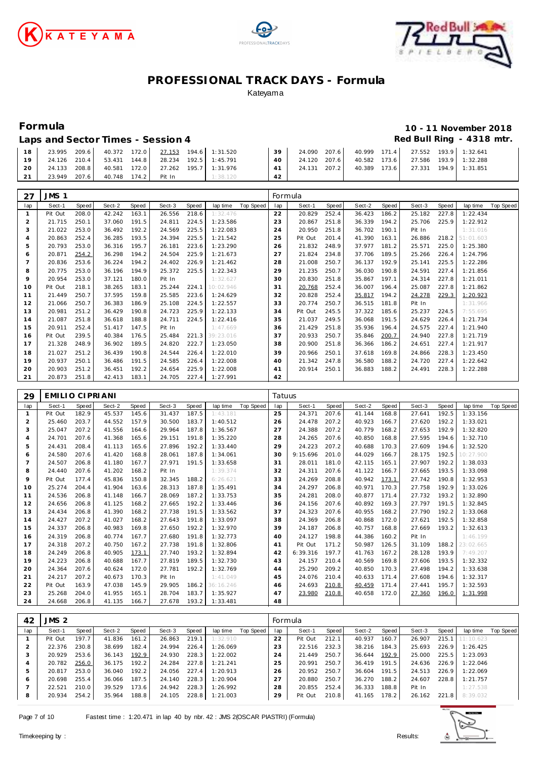





## **Formula 10 - 11 November 2018**

#### Laps and Sector Times - Session 4 *Red Bull Ring - 4318 mtr.*

| 18              |              | 23.995 209.6 40.372 172.0 27.153 194.6 1:31.520 |                                        |          | 39 <sup>1</sup> |  | 24.090 207.6 40.999 171.4 27.552 193.9 1:32.641 |  |  |
|-----------------|--------------|-------------------------------------------------|----------------------------------------|----------|-----------------|--|-------------------------------------------------|--|--|
| 19 <sup>1</sup> | 24.126 210.4 |                                                 | 53.431  144.8  28.234  192.5  1:45.791 |          | $40-1$          |  | 24.120 207.6 40.582 173.6 27.586 193.9 1:32.288 |  |  |
| 20 <sub>1</sub> | 24.133 208.8 |                                                 | 40.581  172.0  27.262  195.7  1:31.976 |          | 41              |  | 24.131 207.2 40.389 173.6 27.331 194.9 1:31.851 |  |  |
| 21              | 23.949 207.6 | 40.748 174.2 Pit In                             |                                        | 1:38.120 | 42              |  |                                                 |  |  |
|                 |              |                                                 |                                        |          |                 |  |                                                 |  |  |

| 27             | JMS <sub>1</sub> |       |        |       |        |       |           |           | Formula |         |       |        |       |        |       |           |           |
|----------------|------------------|-------|--------|-------|--------|-------|-----------|-----------|---------|---------|-------|--------|-------|--------|-------|-----------|-----------|
| lap            | Sect-1           | Speed | Sect-2 | Speed | Sect-3 | Speed | lap time  | Top Speed | lap     | Sect-1  | Speed | Sect-2 | Speed | Sect-3 | Speed | lap time  | Top Speed |
|                | Pit Out          | 208.0 | 42.242 | 163.1 | 26.556 | 218.6 | 1:32.476  |           | 22      | 20.829  | 252.4 | 36.423 | 186.2 | 25.182 | 227.8 | 1:22.434  |           |
| 2              | 21.715           | 250.1 | 37.060 | 191.5 | 24.811 | 224.5 | 1:23.586  |           | 23      | 20.867  | 251.8 | 36.339 | 194.2 | 25.706 | 225.9 | 1:22.912  |           |
| 3              | 21.022           | 253.0 | 36.492 | 192.2 | 24.569 | 225.5 | 1:22.083  |           | 24      | 20.950  | 251.8 | 36.702 | 190.1 | Pit In |       | 1:31.016  |           |
| 4              | 20.863           | 252.4 | 36.285 | 193.5 | 24.394 | 225.5 | 1:21.542  |           | 25      | Pit Out | 201.4 | 41.390 | 163.1 | 26.886 | 218.2 | 51:01.603 |           |
| 5              | 20.793           | 253.0 | 36.316 | 195.7 | 26.181 | 223.6 | 1:23.290  |           | 26      | 21.832  | 248.9 | 37.977 | 181.2 | 25.571 | 225.0 | 1:25.380  |           |
| 6              | 20.871           | 254.2 | 36.298 | 194.2 | 24.504 | 225.9 | 1:21.673  |           | 27      | 21.824  | 234.8 | 37.706 | 189.5 | 25.266 | 226.4 | 1:24.796  |           |
| $\overline{7}$ | 20.836           | 253.6 | 36.224 | 194.2 | 24.402 | 226.9 | 1:21.462  |           | 28      | 21.008  | 250.7 | 36.137 | 192.9 | 25.141 | 225.5 | 1:22.286  |           |
| 8              | 20.775           | 253.0 | 36.196 | 194.9 | 25.372 | 225.5 | 1:22.343  |           | 29      | 21.235  | 250.7 | 36.030 | 190.8 | 24.591 | 227.4 | 1:21.856  |           |
| 9              | 20.954           | 253.0 | 37.121 | 180.0 | Pit In |       | 1:32.627  |           | 30      | 20.830  | 251.8 | 35.867 | 197.1 | 24.314 | 227.8 | 1:21.011  |           |
| 10             | Pit Out          | 218.1 | 38.265 | 183.1 | 25.244 | 224.1 | 10:02.946 |           | 31      | 20.768  | 252.4 | 36.007 | 196.4 | 25.087 | 227.8 | 1:21.862  |           |
| 11             | 21.449           | 250.7 | 37.595 | 159.8 | 25.585 | 223.6 | 1:24.629  |           | 32      | 20.828  | 252.4 | 35.817 | 194.2 | 24.278 | 229.3 | 1:20.923  |           |
| 12             | 21.066           | 250.7 | 36.383 | 186.9 | 25.108 | 224.5 | 1:22.557  |           | 33      | 20.774  | 250.7 | 36.515 | 181.8 | Pit In |       | 1:31.966  |           |
| 13             | 20.981           | 251.2 | 36.429 | 190.8 | 24.723 | 225.9 | 1:22.133  |           | 34      | Pit Out | 245.5 | 37.322 | 185.6 | 25.237 | 224.5 | 7:55.695  |           |
| 14             | 21.087           | 251.8 | 36.618 | 188.8 | 24.711 | 224.5 | 1:22.416  |           | 35      | 21.037  | 249.5 | 36.068 | 191.5 | 24.629 | 226.4 | 1:21.734  |           |
| 15             | 20.911           | 252.4 | 51.417 | 147.5 | Pit In |       | 1:47.669  |           | 36      | 21.429  | 251.8 | 35.936 | 196.4 | 24.575 | 227.4 | 1:21.940  |           |
| 16             | Pit Out          | 239.5 | 40.384 | 176.5 | 25.484 | 221.3 | 39:23.016 |           | 37      | 20.933  | 250.7 | 35.846 | 200.7 | 24.940 | 227.8 | 1:21.719  |           |
| 17             | 21.328           | 248.9 | 36.902 | 189.5 | 24.820 | 222.7 | 1:23.050  |           | 38      | 20.900  | 251.8 | 36.366 | 186.2 | 24.651 | 227.4 | 1:21.917  |           |
| 18             | 21.027           | 251.2 | 36.439 | 190.8 | 24.544 | 226.4 | 1:22.010  |           | 39      | 20.966  | 250.1 | 37.618 | 169.8 | 24.866 | 228.3 | 1:23.450  |           |
| 19             | 20.937           | 250.1 | 36.486 | 191.5 | 24.585 | 226.4 | 1:22.008  |           | 40      | 21.342  | 247.8 | 36.580 | 188.2 | 24.720 | 227.4 | 1:22.642  |           |
| 20             | 20.903           | 251.2 | 36.451 | 192.2 | 24.654 | 225.9 | 1:22.008  |           | 41      | 20.914  | 250.1 | 36.883 | 188.2 | 24.491 | 228.3 | 1:22.288  |           |
| 21             | 20.873           | 251.8 | 42.413 | 183.1 | 24.705 | 227.4 | 1:27.991  |           | 42      |         |       |        |       |        |       |           |           |

| 29             | EMILIO CIPRIANI |       |        |       |        |       |           |                  | Tatuus |          |       |        |       |        |              |           |           |
|----------------|-----------------|-------|--------|-------|--------|-------|-----------|------------------|--------|----------|-------|--------|-------|--------|--------------|-----------|-----------|
| lap            | Sect-1          | Speed | Sect-2 | Speed | Sect-3 | Speed | lap time  | <b>Top Speed</b> | lap    | Sect-1   | Speed | Sect-2 | Speed | Sect-3 | <b>Speed</b> | lap time  | Top Speed |
| -1             | Pit Out         | 182.9 | 45.537 | 145.6 | 31.437 | 187.5 | 1:43.181  |                  | 25     | 24.371   | 207.6 | 41.144 | 168.8 | 27.641 | 192.5        | 1:33.156  |           |
| 2              | 25.460          | 203.7 | 44.552 | 157.9 | 30.500 | 183.7 | 1:40.512  |                  | 26     | 24.478   | 207.2 | 40.923 | 166.7 | 27.620 | 192.2        | 1:33.021  |           |
| 3              | 25.047          | 207.2 | 41.556 | 164.6 | 29.964 | 187.8 | 1:36.567  |                  | 27     | 24.388   | 207.2 | 40.779 | 168.2 | 27.653 | 192.9        | 1:32.820  |           |
| $\overline{4}$ | 24.701          | 207.6 | 41.368 | 165.6 | 29.151 | 191.8 | 1:35.220  |                  | 28     | 24.265   | 207.6 | 40.850 | 168.8 | 27.595 | 194.6        | 1:32.710  |           |
| 5              | 24.431          | 208.4 | 41.113 | 165.6 | 27.896 | 192.2 | 1:33.440  |                  | 29     | 24.223   | 207.2 | 40.688 | 170.3 | 27.609 | 194.6        | 1:32.520  |           |
| 6              | 24.580          | 207.6 | 41.420 | 168.8 | 28.061 | 187.8 | 1:34.061  |                  | 30     | 9:15.696 | 201.0 | 44.029 | 166.7 | 28.175 | 192.5        | 10:27.900 |           |
| $\overline{ }$ | 24.507          | 206.8 | 41.180 | 167.7 | 27.971 | 191.5 | 1:33.658  |                  | 31     | 28.011   | 181.0 | 42.115 | 165.1 | 27.907 | 192.2        | 1:38.033  |           |
| 8              | 24.440          | 207.6 | 41.202 | 168.2 | Pit In |       | 1:39.374  |                  | 32     | 24.311   | 207.6 | 41.122 | 166.7 | 27.665 | 193.5        | 1:33.098  |           |
| $\circ$        | Pit Out         | 177.4 | 45.836 | 150.8 | 32.345 | 188.2 | 6:26.621  |                  | 33     | 24.269   | 208.8 | 40.942 | 173.1 | 27.742 | 190.8        | 1:32.953  |           |
| 10             | 25.274          | 204.4 | 41.904 | 163.6 | 28.313 | 187.8 | 1:35.491  |                  | 34     | 24.297   | 206.8 | 40.971 | 170.3 | 27.758 | 192.9        | 1:33.026  |           |
| 11             | 24.536          | 206.8 | 41.148 | 166.7 | 28.069 | 187.2 | 1:33.753  |                  | 35     | 24.281   | 208.0 | 40.877 | 171.4 | 27.732 | 193.2        | 1:32.890  |           |
| 12             | 24.656          | 206.8 | 41.125 | 168.2 | 27.665 | 192.2 | 1:33.446  |                  | 36     | 24.156   | 207.6 | 40.892 | 169.3 | 27.797 | 191.5        | 1:32.845  |           |
| 13             | 24.434          | 206.8 | 41.390 | 168.2 | 27.738 | 191.5 | 1:33.562  |                  | 37     | 24.323   | 207.6 | 40.955 | 168.2 | 27.790 | 192.2        | 1:33.068  |           |
| 14             | 24.427          | 207.2 | 41.027 | 168.2 | 27.643 | 191.8 | 1:33.097  |                  | 38     | 24.369   | 206.8 | 40.868 | 172.0 | 27.621 | 192.5        | 1:32.858  |           |
| 15             | 24.337          | 206.8 | 40.983 | 169.8 | 27.650 | 192.2 | 1:32.970  |                  | 39     | 24.187   | 206.8 | 40.757 | 168.8 | 27.669 | 193.2        | 1:32.613  |           |
| 16             | 24.319          | 206.8 | 40.774 | 167.7 | 27.680 | 191.8 | 1:32.773  |                  | 40     | 24.127   | 198.8 | 44.386 | 160.2 | Pit In |              | 1:46.199  |           |
| 17             | 24.318          | 207.2 | 40.750 | 167.2 | 27.738 | 191.8 | 1:32.806  |                  | 41     | Pit Out  | 171.2 | 50.987 | 126.5 | 31.109 | 188.2        | 23:02.665 |           |
| 18             | 24.249          | 206.8 | 40.905 | 173.1 | 27.740 | 193.2 | 1:32.894  |                  | 42     | 6:39.316 | 197.7 | 41.763 | 167.2 | 28.128 | 193.9        | 7:49.207  |           |
| 19             | 24.223          | 206.8 | 40.688 | 167.7 | 27.819 | 189.5 | 1:32.730  |                  | 43     | 24.157   | 210.4 | 40.569 | 169.8 | 27.606 | 193.5        | 1:32.332  |           |
| 20             | 24.364          | 207.6 | 40.624 | 172.0 | 27.781 | 192.2 | 1:32.769  |                  | 44     | 25.290   | 209.2 | 40.850 | 170.3 | 27.498 | 194.2        | 1:33.638  |           |
| 21             | 24.217          | 207.2 | 40.673 | 170.3 | Pit In |       | 1:41.049  |                  | 45     | 24.076   | 210.4 | 40.633 | 171.4 | 27.608 | 194.6        | 1:32.317  |           |
| 22             | Pit Out         | 163.9 | 47.038 | 145.9 | 29.905 | 186.2 | 36:16.246 |                  | 46     | 24.693   | 210.8 | 40.459 | 171.4 | 27.441 | 195.7        | 1:32.593  |           |
| 23             | 25.268          | 204.0 | 41.955 | 165.1 | 28.704 | 183.7 | 1:35.927  |                  | 47     | 23.980   | 210.8 | 40.658 | 172.0 | 27.360 | 196.0        | 1:31.998  |           |
| 24             | 24.668          | 206.8 | 41.135 | 166.7 | 27.678 | 193.2 | 1:33.481  |                  | 48     |          |       |        |       |        |              |           |           |

| 42           | JMS 2   |       |        |       |        |       |          |           | Formula |         |       |        |       |        |       |           |           |
|--------------|---------|-------|--------|-------|--------|-------|----------|-----------|---------|---------|-------|--------|-------|--------|-------|-----------|-----------|
| lap          | Sect-1  | Speed | Sect-2 | Speed | Sect-3 | Speed | lap time | Top Speed | lap     | Sect-1  | Speed | Sect-2 | Speed | Sect-3 | Speed | lap time  | Top Speed |
|              | Pit Out | 197.7 | 41.836 | 161.2 | 26.863 | 219.1 | 1:32.910 |           | 22      | Pit Out | 212.1 | 40.937 | 160.7 | 26.907 | 215.1 | 11:10.623 |           |
|              | 22.376  | 230.8 | 38.699 | 182.4 | 24.994 | 226.4 | 1:26.069 |           | 23      | 22.516  | 232.3 | 38.216 | 184.3 | 25.693 | 226.9 | 1:26.425  |           |
|              | 20.929  | 253.6 | 36.143 | 192.9 | 24.930 | 228.3 | 1:22.002 |           | 24      | 21.449  | 250.7 | 36.644 | 192.9 | 25,000 | 225.5 | 1:23.093  |           |
| 4            | 20.782  | 256.0 | 36.175 | 192.2 | 24.284 | 227.8 | 1:21.241 |           | 25      | 20.991  | 250.7 | 36.419 | 191.5 | 24.636 | 226.9 | 1:22.046  |           |
| 5            | 20.817  | 253.0 | 36.040 | 192.2 | 24.056 | 227.4 | 1:20.913 |           | 26      | 20.952  | 250.7 | 36.604 | 191.5 | 24.513 | 226.9 | 1:22.069  |           |
| <sub>6</sub> | 20.698  | 255.4 | 36.066 | 187.5 | 24.140 | 228.3 | 1:20.904 |           | 27      | 20.880  | 250.7 | 36.270 | 188.2 | 24.607 | 228.8 | 1:21.757  |           |
|              | 22.521  | 210.0 | 39.529 | 173.6 | 24.942 | 228.3 | 1:26.992 |           | 28      | 20.855  | 252.4 | 36.333 | 188.8 | Pit In |       | 1:27.538  |           |
| 8            | 20.934  | 254.2 | 35.964 | 188.8 | 24.105 | 228.8 | 1:21.003 |           | 29      | Pit Out | 210.8 | 41.165 | 178.2 | 26.162 | 221.8 | 8:39.032  |           |

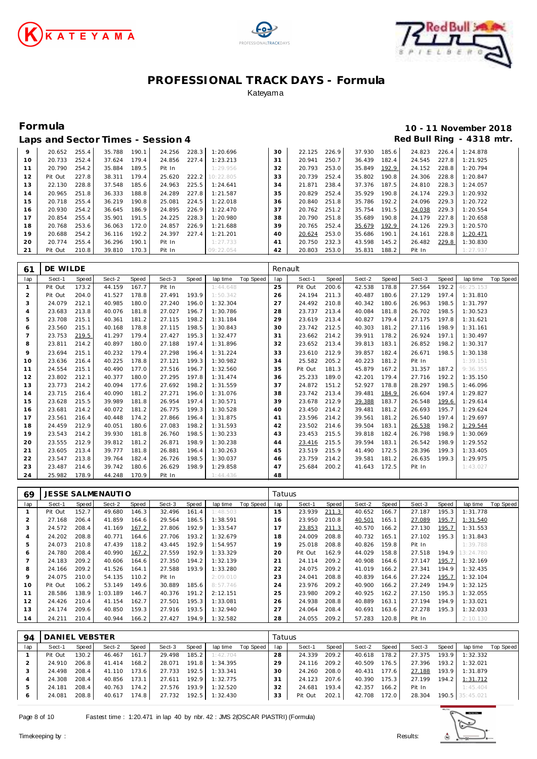





|    |         |       |        |       | Laps and Sector Times - Session 4 |       |           |    |        |       |        |       |        |       | Red Bull Ring - 4318 mtr. |
|----|---------|-------|--------|-------|-----------------------------------|-------|-----------|----|--------|-------|--------|-------|--------|-------|---------------------------|
| 9  | 20.652  | 255.4 | 35.788 | 190.1 | 24.256                            | 228.3 | 1:20.696  | 30 | 22.125 | 226.9 | 37.930 | 185.6 | 24.823 | 226.4 | 1:24.878                  |
| 10 | 20.733  | 252.4 | 37.624 | 179.4 | 24.856                            | 227.4 | 1:23.213  | 31 | 20.941 | 250.7 | 36.439 | 182.4 | 24.545 | 227.8 | 1:21.925                  |
| 11 | 20.790  | 254.2 | 35.884 | 189.5 | Pit In                            |       | 1:29.956  | 32 | 20.793 | 253.0 | 35.849 | 192.9 | 24.152 | 228.8 | 1:20.794                  |
| 12 | Pit Out | 227.8 | 38.311 | 179.4 | 25.620                            | 222.2 | 10:22.805 | 33 | 20.739 | 252.4 | 35.802 | 190.8 | 24.306 | 228.8 | 1:20.847                  |
| 13 | 22.130  | 228.8 | 37.548 | 185.6 | 24.963                            | 225.5 | 1:24.641  | 34 | 21.871 | 238.4 | 37.376 | 187.5 | 24.810 | 228.3 | 1:24.057                  |
| 14 | 20.965  | 251.8 | 36.333 | 188.8 | 24.289                            | 227.8 | 1:21.587  | 35 | 20.829 | 252.4 | 35.929 | 190.8 | 24.174 | 229.3 | 1:20.932                  |
| 15 | 20.718  | 255.4 | 36.219 | 190.8 | 25.081                            | 224.5 | 1:22.018  | 36 | 20.840 | 251.8 | 35.786 | 192.2 | 24.096 | 229.3 | 1:20.722                  |
| 16 | 20.930  | 254.2 | 36.645 | 186.9 | 24.895                            | 226.9 | 1:22.470  | 37 | 20.762 | 251.2 | 35.754 | 191.5 | 24.038 | 229.3 | 1:20.554                  |
| 17 | 20.854  | 255.4 | 35.901 | 191.5 | 24.225                            | 228.3 | 1:20.980  | 38 | 20.790 | 251.8 | 35.689 | 190.8 | 24.179 | 227.8 | 1:20.658                  |
| 18 | 20.768  | 253.6 | 36.063 | 172.0 | 24.857                            | 226.9 | 1:21.688  | 39 | 20.765 | 252.4 | 35.679 | 192.9 | 24.126 | 229.3 | 1:20.570                  |
| 19 | 20.688  | 254.2 | 36.116 | 192.2 | 24.397                            | 227.4 | 1:21.201  | 40 | 20.624 | 253.0 | 35.686 | 190.1 | 24.161 | 228.8 | 1:20.471                  |
| 20 | 20.774  | 255.4 | 36.296 | 190.1 | Pit In                            |       | 1:27.733  | 41 | 20.750 | 232.3 | 43.598 | 145.2 | 26.482 | 229.8 | 1:30.830                  |
| 21 | Pit Out | 210.8 | 39.810 | 170.3 | Pit In                            |       | 09:22.054 | 42 | 20.803 | 253.0 | 35.831 | 188.2 | Pit In |       | 1:27.937                  |

| 61             | DE WILDE |       |        |       |        |       |          |           | Renault |         |       |        |       |        |       |           |           |
|----------------|----------|-------|--------|-------|--------|-------|----------|-----------|---------|---------|-------|--------|-------|--------|-------|-----------|-----------|
| lap            | Sect-1   | Speed | Sect-2 | Speed | Sect-3 | Speed | lap time | Top Speed | Iap     | Sect-1  | Speed | Sect-2 | Speed | Sect-3 | Speed | lap time  | Top Speed |
|                | Pit Out  | 173.2 | 44.159 | 167.7 | Pit In |       | 1:44.648 |           | 25      | Pit Out | 200.6 | 42.538 | 178.8 | 27.564 | 192.2 | 46:25.153 |           |
| $\overline{2}$ | Pit Out  | 204.0 | 41.527 | 178.8 | 27.491 | 193.9 | 1:50.342 |           | 26      | 24.194  | 211.3 | 40.487 | 180.6 | 27.129 | 197.4 | 1:31.810  |           |
| 3              | 24.079   | 212.1 | 40.985 | 180.0 | 27.240 | 196.0 | 1:32.304 |           | 27      | 24.492  | 210.8 | 40.342 | 180.6 | 26.963 | 198.5 | 1:31.797  |           |
| 4              | 23.683   | 213.8 | 40.076 | 181.8 | 27.027 | 196.7 | 1:30.786 |           | 28      | 23.737  | 213.4 | 40.084 | 181.8 | 26.702 | 198.5 | 1:30.523  |           |
| 5              | 23.708   | 215.1 | 40.361 | 181.2 | 27.115 | 198.2 | 1:31.184 |           | 29      | 23.619  | 213.4 | 40.827 | 179.4 | 27.175 | 197.8 | 1:31.621  |           |
| 6              | 23.560   | 215.1 | 40.168 | 178.8 | 27.115 | 198.5 | 1:30.843 |           | 30      | 23.742  | 212.5 | 40.303 | 181.2 | 27.116 | 198.9 | 1:31.161  |           |
|                | 23.753   | 219.5 | 41.297 | 179.4 | 27.427 | 195.3 | 1:32.477 |           | 31      | 23.662  | 214.2 | 39.911 | 178.2 | 26.924 | 197.1 | 1:30.497  |           |
| 8              | 23.811   | 214.2 | 40.897 | 180.0 | 27.188 | 197.4 | 1:31.896 |           | 32      | 23.652  | 213.4 | 39.813 | 183.1 | 26.852 | 198.2 | 1:30.317  |           |
| 9              | 23.694   | 215.1 | 40.232 | 179.4 | 27.298 | 196.4 | 1:31.224 |           | 33      | 23.610  | 212.9 | 39.857 | 182.4 | 26.671 | 198.5 | 1:30.138  |           |
| 10             | 23.636   | 216.4 | 40.225 | 178.8 | 27.121 | 199.3 | 1:30.982 |           | 34      | 25.582  | 205.2 | 40.223 | 181.2 | Pit In |       | 1:39.151  |           |
| 11             | 24.554   | 215.1 | 40.490 | 177.0 | 27.516 | 196.7 | 1:32.560 |           | 35      | Pit Out | 181.3 | 45.879 | 167.2 | 31.357 | 187.2 | 9:36.355  |           |
| 12             | 23.802   | 212.1 | 40.377 | 180.0 | 27.295 | 197.8 | 1:31.474 |           | 36      | 25.233  | 189.0 | 42.201 | 179.4 | 27.716 | 192.2 | 1:35.150  |           |
| 13             | 23.773   | 214.2 | 40.094 | 177.6 | 27.692 | 198.2 | 1:31.559 |           | 37      | 24.872  | 151.2 | 52.927 | 178.8 | 28.297 | 198.5 | 1:46.096  |           |
| 14             | 23.715   | 216.4 | 40.090 | 181.2 | 27.271 | 196.0 | 1:31.076 |           | 38      | 23.742  | 213.4 | 39.481 | 184.9 | 26.604 | 197.4 | 1:29.827  |           |
| 15             | 23.628   | 215.5 | 39.989 | 181.8 | 26.954 | 197.4 | 1:30.571 |           | 39      | 23.678  | 212.9 | 39.388 | 183.7 | 26.548 | 199.6 | 1:29.614  |           |
| 16             | 23.681   | 214.2 | 40.072 | 181.2 | 26.775 | 199.3 | 1:30.528 |           | 40      | 23.450  | 214.2 | 39.481 | 181.2 | 26.693 | 195.7 | 1:29.624  |           |
| 17             | 23.561   | 216.4 | 40.448 | 174.2 | 27.866 | 196.4 | 1:31.875 |           | 41      | 23.596  | 214.2 | 39.561 | 181.2 | 26.540 | 197.4 | 1:29.697  |           |
| 18             | 24.459   | 212.9 | 40.051 | 180.6 | 27.083 | 198.2 | 1:31.593 |           | 42      | 23.502  | 214.6 | 39.504 | 183.1 | 26.538 | 198.2 | 1:29.544  |           |
| 19             | 23.543   | 214.2 | 39.930 | 181.8 | 26.760 | 198.5 | 1:30.233 |           | 43      | 23.453  | 215.5 | 39.818 | 182.4 | 26.798 | 198.9 | 1:30.069  |           |
| 20             | 23.555   | 212.9 | 39.812 | 181.2 | 26.871 | 198.9 | 1:30.238 |           | 44      | 23.416  | 215.5 | 39.594 | 183.1 | 26.542 | 198.9 | 1:29.552  |           |
| 21             | 23.605   | 213.4 | 39.777 | 181.8 | 26.881 | 196.4 | 1:30.263 |           | 45      | 23.519  | 215.9 | 41.490 | 172.5 | 28.396 | 199.3 | 1:33.405  |           |
| 22             | 23.547   | 213.8 | 39.764 | 182.4 | 26.726 | 198.5 | 1:30.037 |           | 46      | 23.759  | 214.2 | 39.581 | 181.2 | 26.635 | 199.3 | 1:29.975  |           |
| 23             | 23.487   | 214.6 | 39.742 | 180.6 | 26.629 | 198.9 | 1:29.858 |           | 47      | 25.684  | 200.2 | 41.643 | 172.5 | Pit In |       | 1:43.027  |           |
| 24             | 25.982   | 178.9 | 44.248 | 170.9 | Pit In |       | 1:44.436 |           | 48      |         |       |        |       |        |       |           |           |

| 69  |         |       | <b>JESSE SALMENAUTIO</b> |       |        |       |                |           | Tatuus |         |       |        |       |        |       |           |           |
|-----|---------|-------|--------------------------|-------|--------|-------|----------------|-----------|--------|---------|-------|--------|-------|--------|-------|-----------|-----------|
| lap | Sect-1  | Speed | Sect-2                   | Speed | Sect-3 | Speed | lap time       | Top Speed | lap    | Sect-1  | Speed | Sect-2 | Speed | Sect-3 | Speed | lap time  | Top Speed |
|     | Pit Out | 152.7 | 49.680                   | 146.3 | 32.496 | 161.4 | 1:48.503       |           | 15     | 23.939  | 211.3 | 40.652 | 166.7 | 27.187 | 195.3 | 1:31.778  |           |
| 2   | 27.168  | 206.4 | 41.859                   | 164.6 | 29.564 | 186.5 | 1:38.591       |           | 16     | 23.950  | 210.8 | 40.501 | 165.1 | 27.089 | 195.7 | 1:31.540  |           |
| 3   | 24.572  | 208.4 | 41.169                   | 167.2 | 27.806 | 192.9 | 1:33.547       |           |        | 23.853  | 211.3 | 40.570 | 166.2 | 27.130 | 195.7 | 1:31.553  |           |
| 4   | 24.202  | 208.8 | 40.771                   | 164.6 | 27.706 | 193.2 | 1:32.679       |           | 18     | 24.009  | 208.8 | 40.732 | 165.1 | 27.102 | 195.3 | 1:31.843  |           |
| 5   | 24.073  | 210.8 | 47.439                   | 118.2 | 43.445 | 192.9 | 1:54.957       |           | 19     | 25.018  | 208.8 | 40.826 | 159.8 | Pit In |       | 1:39.788  |           |
| 6   | 24.780  | 208.4 | 40.990                   | 167.2 | 27.559 | 192.9 | 1:33.329       |           | 20     | Pit Out | 162.9 | 44.029 | 158.8 | 27.518 | 194.9 | 13:24.780 |           |
|     | 24.183  | 209.2 | 40.606                   | 164.6 | 27.350 | 194.2 | 1:32.139       |           | 21     | 24.114  | 209.2 | 40.908 | 164.6 | 27.147 | 195.7 | 1:32.169  |           |
| 8   | 24.166  | 209.2 | 41.526                   | 164.1 | 27.588 | 193.9 | 1:33.280       |           | 22     | 24.075  | 209.2 | 41.019 | 166.2 | 27.341 | 194.9 | 1:32.435  |           |
| 9   | 24.075  | 210.0 | 54.135                   | 110.2 | Pit In |       | 2:09.010       |           | 23     | 24.041  | 208.8 | 40.839 | 164.6 | 27.224 | 195.7 | 1:32.104  |           |
| 10  | Pit Out | 106.2 | 53.149                   | 149.6 | 30.889 | 185.6 | 8:57.746       |           | 24     | 23.976  | 209.2 | 40.900 | 166.2 | 27.249 | 194.9 | 1:32.125  |           |
| 11  | 28.586  | 138.9 | 1:03.189                 | 146.7 | 40.376 | 191.2 | 2:12.151       |           | 25     | 23.980  | 209.2 | 40.925 | 162.2 | 27.150 | 195.3 | 1:32.055  |           |
| 12  | 24.426  | 210.4 | 41.154                   | 162.7 | 27.501 | 195.3 | 1:33.081       |           | 26     | 24.938  | 208.8 | 40.889 | 163.1 | 27.194 | 194.9 | 1:33.021  |           |
| 13  | 24.174  | 209.6 | 40.850                   | 159.3 | 27.916 | 193.5 | 1:32.940       |           | 27     | 24.064  | 208.4 | 40.691 | 163.6 | 27.278 | 195.3 | 1:32.033  |           |
| 14  | 24.211  | 210.4 | 40.944                   | 166.2 | 27.427 |       | 194.9 1:32.582 |           | 28     | 24.055  | 209.2 | 57.283 | 120.8 | Pit In |       | 2:10.130  |           |

| 94  | DANIEL VEBSTER |              |        |       |        |       |          |           |     | Tatuus  |       |        |        |        |       |                 |           |  |
|-----|----------------|--------------|--------|-------|--------|-------|----------|-----------|-----|---------|-------|--------|--------|--------|-------|-----------------|-----------|--|
| lap | Sect-1         | <b>Speed</b> | Sect-2 | Speed | Sect-3 | Speed | lap time | Top Speed | lap | Sect-1  | Speed | Sect-2 | Speed  | Sect-3 | Speed | lap time        | Top Speed |  |
|     | Pit Out        | 130.2        | 46.467 | 161.7 | 29.498 | 185.2 | 1:42.704 |           | 28  | 24.339  | 209.2 | 40.618 | 178.21 | 27.375 | 193.9 | 1:32.332        |           |  |
|     | 24.910         | 206.8        | 41.414 | 168.2 | 28.071 | 191.8 | 1:34.395 |           | 29  | 24.116  | 209.2 | 40.509 | 176.5  | 27.396 | 193.2 | 1:32.021        |           |  |
|     | 24.498         | 208.4        | 41.110 | 173.6 | 27.733 | 192.5 | 1:33.341 |           | 30  | 24.260  | 208.0 | 40.431 | 177.6  | 27.188 | 193.9 | 1:31.879        |           |  |
|     | 24.308         | 208.4        | 40.856 | 173.1 | 27.611 | 192.9 | 1:32.775 |           | 31  | 24.123  | 207.6 | 40.390 | 175.3  | 27.199 | 194.2 | 1:31.712        |           |  |
|     | 24.181         | 208.4        | 40.763 | 174.2 | 27.576 | 193.9 | 1:32.520 |           | 32  | 24.681  | 193.4 | 42.357 | 166.2  | Pit In |       | 1:45.404        |           |  |
| 6   | 24.081         | 208.8        | 40.617 | 174.8 | 27.732 | 192.5 | 1:32.430 |           | 33  | Pit Out | 202.1 | 42.708 | 172.0  | 28.304 |       | 190.5 35:45.021 |           |  |

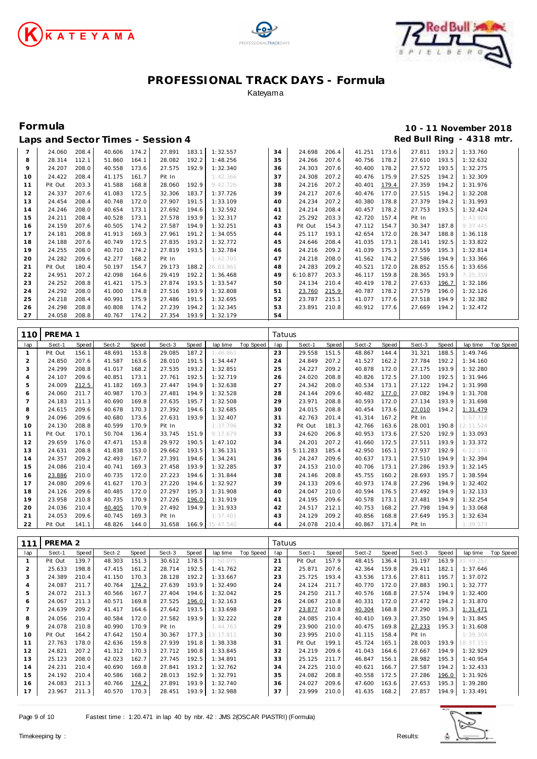





| Red Bull Ring - 4318 mtr.<br>Laps and Sector Times - Session 4 |         |       |        |       |        |       |           |    |          |       |        |       |        |       |          |
|----------------------------------------------------------------|---------|-------|--------|-------|--------|-------|-----------|----|----------|-------|--------|-------|--------|-------|----------|
| $\overline{7}$                                                 | 24.060  | 208.4 | 40.606 | 174.2 | 27.891 | 183.1 | 1:32.557  | 34 | 24.698   | 206.4 | 41.251 | 173.6 | 27.811 | 193.2 | 1:33.760 |
| 8                                                              | 28.314  | 112.1 | 51.860 | 164.1 | 28.082 | 192.2 | 1:48.256  | 35 | 24.266   | 207.6 | 40.756 | 178.2 | 27.610 | 193.5 | 1:32.632 |
| 9                                                              | 24.207  | 208.0 | 40.558 | 173.6 | 27.575 | 192.9 | 1:32.340  | 36 | 24.303   | 207.6 | 40.400 | 178.2 | 27.572 | 193.5 | 1:32.275 |
| 10                                                             | 24.422  | 208.4 | 41.175 | 161.7 | Pit In |       | 1:42.366  | 37 | 24.308   | 207.2 | 40.476 | 175.9 | 27.525 | 194.2 | 1:32.309 |
| 11                                                             | Pit Out | 203.3 | 41.588 | 168.8 | 28.060 | 192.9 | 9:42.726  | 38 | 24.216   | 207.2 | 40.401 | 179.4 | 27.359 | 194.2 | 1:31.976 |
| 12                                                             | 24.337  | 207.6 | 41.083 | 172.5 | 32.306 | 183.7 | 1:37.726  | 39 | 24.217   | 207.6 | 40.476 | 177.0 | 27.515 | 194.2 | 1:32.208 |
| 13                                                             | 24.454  | 208.4 | 40.748 | 172.0 | 27.907 | 191.5 | 1:33.109  | 40 | 24.234   | 207.2 | 40.380 | 178.8 | 27.379 | 194.2 | 1:31.993 |
| 14                                                             | 24.246  | 208.0 | 40.654 | 173.1 | 27.692 | 194.6 | 1:32.592  | 41 | 24.214   | 208.4 | 40.457 | 178.2 | 27.753 | 193.5 | 1:32.424 |
| 15                                                             | 24.211  | 208.4 | 40.528 | 173.1 | 27.578 | 193.9 | 1:32.317  | 42 | 25.292   | 203.3 | 42.720 | 157.4 | Pit In |       | 1:43.900 |
| 16                                                             | 24.159  | 207.6 | 40.505 | 174.2 | 27.587 | 194.9 | 1:32.251  | 43 | Pit Out  | 154.3 | 47.112 | 154.7 | 30.347 | 187.8 | 9:37.445 |
| 17                                                             | 24.181  | 208.8 | 41.913 | 169.3 | 27.961 | 191.2 | 1:34.055  | 44 | 25.117   | 193.1 | 42.654 | 172.0 | 28.347 | 188.8 | 1:36.118 |
| 18                                                             | 24.188  | 207.6 | 40.749 | 172.5 | 27.835 | 193.2 | 1:32.772  | 45 | 24.646   | 208.4 | 41.035 | 173.1 | 28.141 | 192.5 | 1:33.822 |
| 19                                                             | 24.255  | 208.0 | 40.710 | 174.2 | 27.819 | 193.5 | 1:32.784  | 46 | 24.216   | 209.2 | 41.039 | 175.3 | 27.559 | 195.3 | 1:32.814 |
| 20                                                             | 24.282  | 209.6 | 42.277 | 168.2 | Pit In |       | 1:42.705  | 47 | 24.218   | 208.0 | 41.562 | 174.2 | 27.586 | 194.9 | 1:33.366 |
| 21                                                             | Pit Out | 180.4 | 50.197 | 154.7 | 29.173 | 188.2 | 26:03.961 | 48 | 24.283   | 209.2 | 40.521 | 172.0 | 28.852 | 155.6 | 1:33.656 |
| 22                                                             | 24.951  | 207.2 | 42.098 | 164.6 | 29.419 | 192.2 | 1:36.468  | 49 | 6:10.877 | 203.3 | 46.117 | 159.8 | 28.365 | 193.9 | 7:25.359 |
| 23                                                             | 24.252  | 208.8 | 41.421 | 175.3 | 27.874 | 193.5 | 1:33.547  | 50 | 24.134   | 210.4 | 40.419 | 178.2 | 27.633 | 196.7 | 1:32.186 |
| 24                                                             | 24.292  | 208.0 | 41.000 | 174.8 | 27.516 | 193.9 | 1:32.808  | 51 | 23.760   | 215.9 | 40.787 | 178.2 | 27.579 | 196.0 | 1:32.126 |
| 25                                                             | 24.218  | 208.4 | 40.991 | 175.9 | 27.486 | 191.5 | 1:32.695  | 52 | 23.787   | 215.1 | 41.077 | 177.6 | 27.518 | 194.9 | 1:32.382 |
| 26                                                             | 24.298  | 208.8 | 40.808 | 174.2 | 27.239 | 194.2 | 1:32.345  | 53 | 23.891   | 210.8 | 40.912 | 177.6 | 27.669 | 194.2 | 1:32.472 |
| 27                                                             | 24.058  | 208.8 | 40.767 | 174.2 | 27.354 | 193.9 | 1:32.179  | 54 |          |       |        |       |        |       |          |

| 110          | PREMA 1 |       |        |       |        |       |                 |           |     | Tatuus   |              |        |       |        |       |           |           |  |
|--------------|---------|-------|--------|-------|--------|-------|-----------------|-----------|-----|----------|--------------|--------|-------|--------|-------|-----------|-----------|--|
| lap          | Sect-1  | Speed | Sect-2 | Speed | Sect-3 | Speed | lap time        | Top Speed | lap | Sect-1   | <b>Speed</b> | Sect-2 | Speed | Sect-3 | Speed | lap time  | Top Speed |  |
| $\mathbf{1}$ | Pit Out | 156.1 | 48.691 | 153.8 | 29.085 | 187.2 | 1:46.861        |           | 23  | 29.558   | 151.5        | 48.867 | 144.4 | 31.321 | 188.5 | 1:49.746  |           |  |
| 2            | 24.850  | 207.6 | 41.587 | 163.6 | 28.010 | 191.5 | 1:34.447        |           | 24  | 24.849   | 207.2        | 41.527 | 162.2 | 27.784 | 192.2 | 1:34.160  |           |  |
| 3            | 24.299  | 208.8 | 41.017 | 168.2 | 27.535 | 193.2 | 1:32.851        |           | 25  | 24.227   | 209.2        | 40.878 | 172.0 | 27.175 | 193.9 | 1:32.280  |           |  |
| 4            | 24.107  | 209.6 | 40.851 | 173.1 | 27.761 | 192.5 | 1:32.719        |           | 26  | 24.020   | 208.8        | 40.826 | 172.5 | 27.100 | 192.5 | 1:31.946  |           |  |
| 5            | 24.009  | 212.5 | 41.182 | 169.3 | 27.447 | 194.9 | 1:32.638        |           | 27  | 24.342   | 208.0        | 40.534 | 173.1 | 27.122 | 194.2 | 1:31.998  |           |  |
| 6            | 24.060  | 211.7 | 40.987 | 170.3 | 27.481 | 194.9 | 1:32.528        |           | 28  | 24.144   | 209.6        | 40.482 | 177.0 | 27.082 | 194.9 | 1:31.708  |           |  |
| 7            | 24.183  | 211.3 | 40.690 | 169.8 | 27.635 | 195.7 | 1:32.508        |           | 29  | 23.971   | 208.8        | 40.593 | 172.0 | 27.134 | 193.9 | 1:31.698  |           |  |
| 8            | 24.615  | 209.6 | 40.678 | 170.3 | 27.392 | 194.6 | 1:32.685        |           | 30  | 24.015   | 208.8        | 40.454 | 173.6 | 27.010 | 194.2 | 1:31.479  |           |  |
| 9            | 24.096  | 209.6 | 40.680 | 173.6 | 27.631 | 193.9 | 1:32.407        |           | 31  | 42.763   | 201.4        | 41.314 | 167.2 | Pit In |       | 1:57.716  |           |  |
| 10           | 24.130  | 208.8 | 40.599 | 170.9 | Pit In |       | 1:37.796        |           | 32  | Pit Out  | 181.3        | 42.766 | 163.6 | 28.001 | 190.8 | 12:11.524 |           |  |
| 11           | Pit Out | 170.1 | 50.704 | 136.4 | 33.745 | 151.9 | 9:17.679        |           | 33  | 24.620   | 206.8        | 40.953 | 173.6 | 27.520 | 192.9 | 1:33.093  |           |  |
| 12           | 29.659  | 176.0 | 47.471 | 153.8 | 29.972 | 190.5 | 1:47.102        |           | 34  | 24.201   | 207.2        | 41.660 | 172.5 | 27.511 | 193.9 | 1:33.372  |           |  |
| 13           | 24.631  | 208.8 | 41.838 | 153.0 | 29.662 | 193.5 | 1:36.131        |           | 35  | 5:11.283 | 185.4        | 42.950 | 165.1 | 27.937 | 192.9 | 6:22.170  |           |  |
| 14           | 24.357  | 209.2 | 42.493 | 167.7 | 27.391 | 194.6 | 1:34.241        |           | 36  | 24.247   | 209.6        | 40.637 | 173.1 | 27.510 | 194.9 | 1:32.394  |           |  |
| 15           | 24.086  | 210.4 | 40.741 | 169.3 | 27.458 | 193.9 | 1:32.285        |           | 37  | 24.153   | 210.0        | 40.706 | 173.1 | 27.286 | 193.9 | 1:32.145  |           |  |
| 16           | 23.886  | 210.0 | 40.735 | 172.0 | 27.223 | 194.6 | 1:31.844        |           | 38  | 24.146   | 208.8        | 45.755 | 160.2 | 28.693 | 195.7 | 1:38.594  |           |  |
| 17           | 24.080  | 209.6 | 41.627 | 170.3 | 27.220 | 194.6 | 1:32.927        |           | 39  | 24.133   | 209.6        | 40.973 | 174.8 | 27.296 | 194.9 | 1:32.402  |           |  |
| 18           | 24.126  | 209.6 | 40.485 | 172.0 | 27.297 | 195.3 | 1:31.908        |           | 40  | 24.047   | 210.0        | 40.594 | 176.5 | 27.492 | 194.9 | 1:32.133  |           |  |
| 19           | 23.958  | 210.8 | 40.735 | 170.9 | 27.226 | 196.0 | 1:31.919        |           | 41  | 24.195   | 209.6        | 40.578 | 173.1 | 27.481 | 194.9 | 1:32.254  |           |  |
| 20           | 24.036  | 210.4 | 40.405 | 170.9 | 27.492 | 194.9 | 1:31.933        |           | 42  | 24.517   | 212.1        | 40.753 | 168.2 | 27.798 | 194.9 | 1:33.068  |           |  |
| 21           | 24.053  | 209.6 | 40.745 | 169.3 | Pit In |       | 1:37.401        |           | 43  | 24.129   | 209.2        | 40.856 | 168.8 | 27.649 | 195.3 | 1:32.634  |           |  |
| 22           | Pit Out | 141.1 | 48.826 | 144.0 | 31.658 |       | 166.9 35:47.540 |           | 44  | 24.078   | 210.4        | 40.867 | 171.4 | Pit In |       | 1:39.573  |           |  |

| 111 | PREMA <sub>2</sub> |       |        |       |        |       |           |                  |     | Tatuus  |       |        |       |        |       |           |           |  |
|-----|--------------------|-------|--------|-------|--------|-------|-----------|------------------|-----|---------|-------|--------|-------|--------|-------|-----------|-----------|--|
| lap | Sect-1             | Speed | Sect-2 | Speed | Sect-3 | Speed | lap time  | <b>Top Speed</b> | lap | Sect-1  | Speed | Sect-2 | Speed | Sect-3 | Speed | lap time  | Top Speed |  |
|     | Pit Out            | 139.7 | 48.303 | 151.3 | 30.612 | 178.5 | 1:50.075  |                  | 21  | Pit Out | 157.9 | 48.415 | 136.4 | 31.197 | 163.9 | 31:49.257 |           |  |
| 2   | 25.633             | 198.8 | 47.415 | 161.2 | 28.714 | 192.5 | 1:41.762  |                  | 22  | 25.871  | 207.6 | 42.364 | 159.8 | 29.411 | 182.1 | 1:37.646  |           |  |
| 3   | 24.389             | 210.4 | 41.150 | 170.3 | 28.128 | 192.2 | 1:33.667  |                  | 23  | 25.725  | 193.4 | 43.536 | 173.6 | 27.811 | 195.7 | 1:37.072  |           |  |
| 4   | 24.087             | 211.7 | 40.764 | 174.2 | 27.639 | 193.9 | 1:32.490  |                  | 24  | 24.124  | 211.7 | 40.770 | 172.0 | 27.883 | 190.1 | 1:32.777  |           |  |
| 5   | 24.072             | 211.3 | 40.566 | 167.7 | 27.404 | 194.6 | 1:32.042  |                  | 25  | 24.250  | 211.7 | 40.576 | 168.8 | 27.574 | 194.9 | 1:32.400  |           |  |
| 6   | 24.067             | 211.3 | 40.571 | 169.8 | 27.525 | 196.0 | 1:32.163  |                  | 26  | 24.067  | 210.8 | 40.331 | 172.0 | 27.472 | 194.2 | 1:31.870  |           |  |
|     | 24.639             | 209.2 | 41.417 | 164.6 | 27.642 | 193.5 | 1:33.698  |                  | 27  | 23.877  | 210.8 | 40.304 | 168.8 | 27.290 | 195.3 | 1:31.471  |           |  |
| 8   | 24.056             | 210.4 | 40.584 | 172.0 | 27.582 | 193.9 | 1:32.222  |                  | 28  | 24.085  | 210.4 | 40.410 | 169.3 | 27.350 | 194.9 | 1:31.845  |           |  |
| 9   | 24.078             | 210.8 | 40.990 | 170.9 | Pit In |       | 1:44.763  |                  | 29  | 23.900  | 210.0 | 40.475 | 169.8 | 27.233 | 195.3 | 1:31.608  |           |  |
| 10  | Pit Out            | 164.2 | 47.642 | 150.4 | 30.367 | 177.3 | 13:17.811 |                  | 30  | 23.995  | 210.0 | 41.115 | 158.4 | Pit In |       | 1:39.304  |           |  |
| 11  | 27.763             | 178.0 | 42.636 | 159.8 | 27.939 | 191.8 | 1:38.338  |                  | 31  | Pit Out | 199.1 | 45.724 | 165.1 | 28.003 | 193.9 | 18:37.153 |           |  |
| 12  | 24.821             | 207.2 | 41.312 | 170.3 | 27.712 | 190.8 | 1:33.845  |                  | 32  | 24.219  | 209.6 | 41.043 | 164.6 | 27.667 | 194.9 | 1:32.929  |           |  |
| 13  | 25.123             | 208.0 | 42.023 | 162.7 | 27.745 | 192.5 | 1:34.891  |                  | 33  | 25.125  | 211.7 | 46.847 | 156.1 | 28.982 | 195.3 | 1:40.954  |           |  |
| 14  | 24.231             | 210.4 | 40.690 | 169.8 | 27.841 | 193.2 | 1:32.762  |                  | 34  | 24.225  | 210.0 | 40.621 | 166.7 | 27.587 | 194.2 | 1:32.433  |           |  |
| 15  | 24.192             | 210.4 | 40.586 | 168.2 | 28.013 | 192.9 | 1:32.791  |                  | 35  | 24.082  | 208.8 | 40.558 | 172.5 | 27.286 | 196.0 | 1:31.926  |           |  |
| 16  | 24.083             | 211.3 | 40.766 | 174.2 | 27.891 | 193.9 | 1:32.740  |                  | 36  | 24.027  | 209.6 | 47.600 | 163.6 | 27.653 | 195.3 | 1:39.280  |           |  |
| 17  | 23.967             | 211.3 | 40.570 | 170.3 | 28.451 | 193.9 | 1:32.988  |                  | 37  | 23.999  | 210.0 | 41.635 | 168.2 | 27.857 | 194.9 | 1:33.491  |           |  |